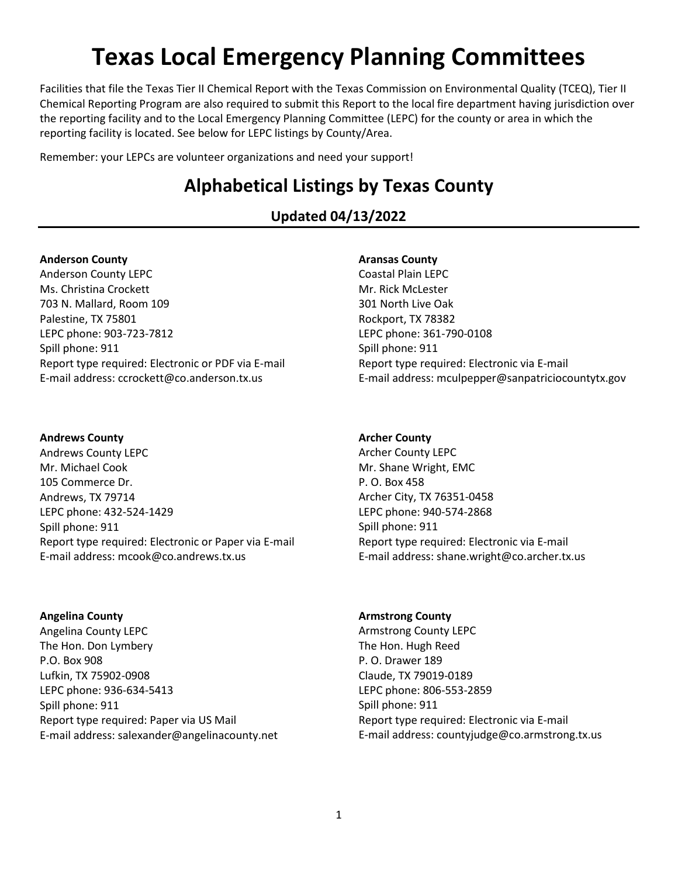# **Texas Local Emergency Planning Committees**

Facilities that file the Texas Tier II Chemical Report with the Texas Commission on Environmental Quality (TCEQ), Tier II Chemical Reporting Program are also required to submit this Report to the local fire department having jurisdiction over the reporting facility and to the Local Emergency Planning Committee (LEPC) for the county or area in which the reporting facility is located. See below for LEPC listings by County/Area.

Remember: your LEPCs are volunteer organizations and need your support!

# **Alphabetical Listings by Texas County**

**Updated 04/13/2022**

# **Anderson County**

Anderson County LEPC Ms. Christina Crockett 703 N. Mallard, Room 109 Palestine, TX 75801 LEPC phone: 903-723-7812 Spill phone: 911 Report type required: Electronic or PDF via E-mail E-mail address: ccrockett@co.anderson.tx.us

# **Andrews County**

Andrews County LEPC Mr. Michael Cook 105 Commerce Dr. Andrews, TX 79714 LEPC phone: 432-524-1429 Spill phone: 911 Report type required: Electronic or Paper via E-mail E-mail address: mcook@co.andrews.tx.us

**Angelina County** Angelina County LEPC The Hon. Don Lymbery P.O. Box 908 Lufkin, TX 75902-0908 LEPC phone: 936-634-5413 Spill phone: 911 Report type required: Paper via US Mail E-mail address: salexander@angelinacounty.net

# **Aransas County**

Coastal Plain LEPC Mr. Rick McLester 301 North Live Oak Rockport, TX 78382 LEPC phone: 361-790-0108 Spill phone: 911 Report type required: Electronic via E-mail E-mail address: mculpepper@sanpatriciocountytx.gov

# **Archer County**

Archer County LEPC Mr. Shane Wright, EMC P. O. Box 458 Archer City, TX 76351-0458 LEPC phone: 940-574-2868 Spill phone: 911 Report type required: Electronic via E-mail E-mail address: shane.wright@co.archer.tx.us

# **Armstrong County**

Armstrong County LEPC The Hon. Hugh Reed P. O. Drawer 189 Claude, TX 79019-0189 LEPC phone: 806-553-2859 Spill phone: 911 Report type required: Electronic via E-mail E-mail address: countyjudge@co.armstrong.tx.us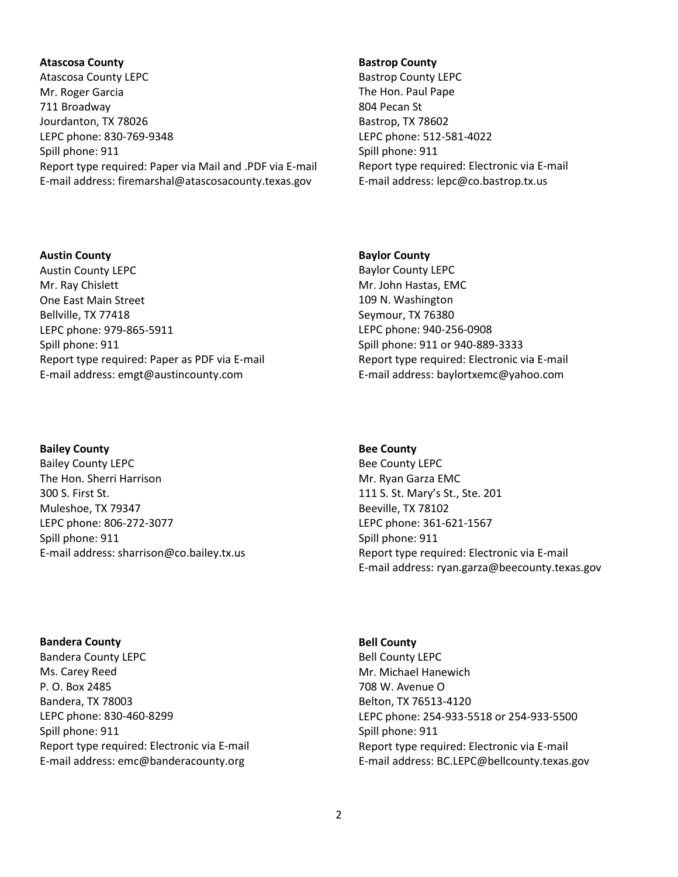# **Atascosa County**

Atascosa County LEPC Mr. Roger Garcia 711 Broadway Jourdanton, TX 78026 LEPC phone: 830-769-9348 Spill phone: 911 Report type required: Paper via Mail and .PDF via E-mail E-mail address: firemarshal@atascosacounty.texas.gov

#### **Bastrop County**

Bastrop County LEPC The Hon. Paul Pape 804 Pecan St Bastrop, TX 78602 LEPC phone: 512-581-4022 Spill phone: 911 Report type required: Electronic via E-mail E-mail address: lepc@co.bastrop.tx.us

# **Austin County**

Austin County LEPC Mr. Ray Chislett One East Main Street Bellville, TX 77418 LEPC phone: 979-865-5911 Spill phone: 911 Report type required: Paper as PDF via E-mail E-mail address: emgt@austincounty.com

#### **Bailey County**

Bailey County LEPC The Hon. Sherri Harrison 300 S. First St. Muleshoe, TX 79347 LEPC phone: 806-272-3077 Spill phone: 911 E-mail address: sharrison@co.bailey.tx.us

**Bandera County** Bandera County LEPC Ms. Carey Reed P. O. Box 2485 Bandera, TX 78003 LEPC phone: 830-460-8299 Spill phone: 911 Report type required: Electronic via E-mail E-mail address: emc@banderacounty.org

### **Baylor County**

Baylor County LEPC Mr. John Hastas, EMC 109 N. Washington Seymour, TX 76380 LEPC phone: 940-256-0908 Spill phone: 911 or 940-889-3333 Report type required: Electronic via E-mail E-mail address: baylortxemc@yahoo.com

#### **Bee County**

Bee County LEPC Mr. Ryan Garza EMC 111 S. St. Mary's St., Ste. 201 Beeville, TX 78102 LEPC phone: 361-621-1567 Spill phone: 911 Report type required: Electronic via E-mail E-mail address: ryan.garza@beecounty.texas.gov

**Bell County** Bell County LEPC Mr. Michael Hanewich 708 W. Avenue O Belton, TX 76513-4120 LEPC phone: 254-933-5518 or 254-933-5500 Spill phone: 911 Report type required: Electronic via E-mail E-mail address: BC.LEPC@bellcounty.texas.gov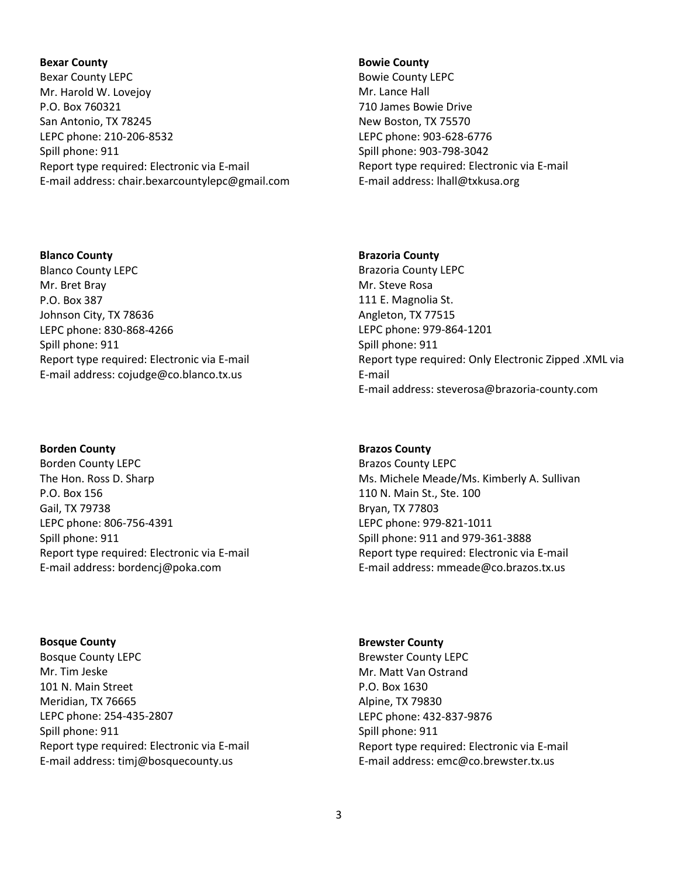# **Bexar County** Bexar County LEPC Mr. Harold W. Lovejoy P.O. Box 760321 San Antonio, TX 78245 LEPC phone: 210-206-8532 Spill phone: 911 Report type required: Electronic via E-mail E-mail address: chair.bexarcountylepc@gmail.com

# **Blanco County**

Blanco County LEPC Mr. Bret Bray P.O. Box 387 Johnson City, TX 78636 LEPC phone: 830-868-4266 Spill phone: 911 Report type required: Electronic via E-mail E-mail address: cojudge@co.blanco.tx.us

# **Borden County**

Borden County LEPC The Hon. Ross D. Sharp P.O. Box 156 Gail, TX 79738 LEPC phone: 806-756-4391 Spill phone: 911 Report type required: Electronic via E-mail E-mail address: bordencj@poka.com

**Bosque County** Bosque County LEPC Mr. Tim Jeske 101 N. Main Street Meridian, TX 76665 LEPC phone: 254-435-2807 Spill phone: 911 Report type required: Electronic via E-mail E-mail address: timj@bosquecounty.us

# **Bowie County**

Bowie County LEPC Mr. Lance Hall 710 James Bowie Drive New Boston, TX 75570 LEPC phone: 903-628-6776 Spill phone: 903-798-3042 Report type required: Electronic via E-mail E-mail address: lhall@txkusa.org

# **Brazoria County**

Brazoria County LEPC Mr. Steve Rosa 111 E. Magnolia St. Angleton, TX 77515 LEPC phone: 979-864-1201 Spill phone: 911 Report type required: Only Electronic Zipped .XML via E-mail E-mail address: steverosa@brazoria-county.com

# **Brazos County**

Brazos County LEPC Ms. Michele Meade/Ms. Kimberly A. Sullivan 110 N. Main St., Ste. 100 Bryan, TX 77803 LEPC phone: 979-821-1011 Spill phone: 911 and 979-361-3888 Report type required: Electronic via E-mail E-mail address: mmeade@co.brazos.tx.us

**Brewster County** Brewster County LEPC Mr. Matt Van Ostrand P.O. Box 1630 Alpine, TX 79830 LEPC phone: 432-837-9876 Spill phone: 911 Report type required: Electronic via E-mail E-mail address: emc@co.brewster.tx.us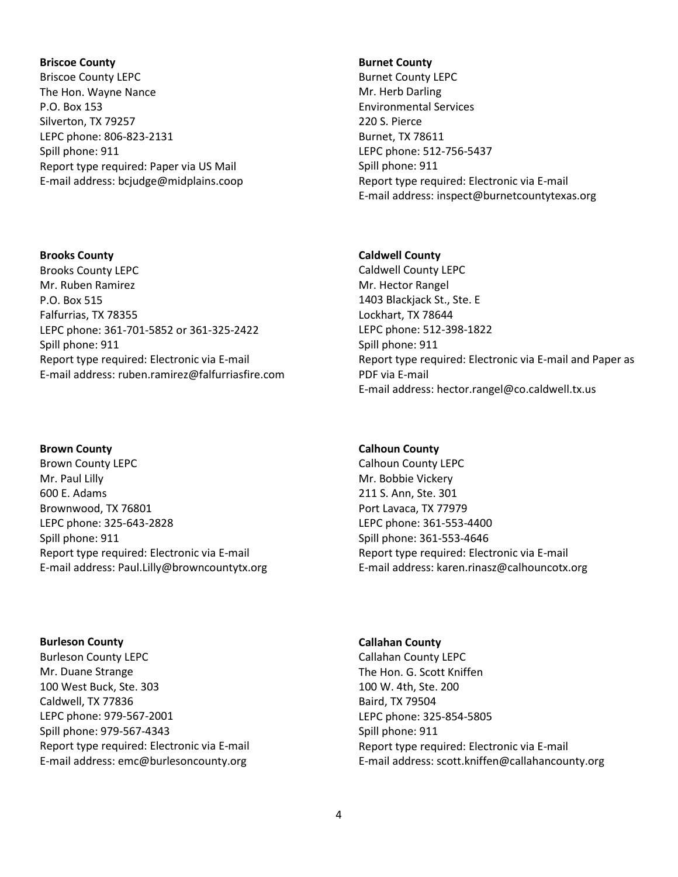# **Briscoe County** Briscoe County LEPC The Hon. Wayne Nance P.O. Box 153 Silverton, TX 79257 LEPC phone: 806-823-2131 Spill phone: 911 Report type required: Paper via US Mail E-mail address: bcjudge@midplains.coop

**Brooks County** Brooks County LEPC Mr. Ruben Ramirez P.O. Box 515 Falfurrias, TX 78355 LEPC phone: 361-701-5852 or 361-325-2422 Spill phone: 911 Report type required: Electronic via E-mail E-mail address: ruben.ramirez@falfurriasfire.com

# **Brown County**

Brown County LEPC Mr. Paul Lilly 600 E. Adams Brownwood, TX 76801 LEPC phone: 325-643-2828 Spill phone: 911 Report type required: Electronic via E-mail E-mail address: Paul.Lilly@browncountytx.org

**Burleson County** Burleson County LEPC Mr. Duane Strange 100 West Buck, Ste. 303 Caldwell, TX 77836 LEPC phone: 979-567-2001 Spill phone: 979-567-4343 Report type required: Electronic via E-mail E-mail address: emc@burlesoncounty.org

#### **Burnet County**

Burnet County LEPC Mr. Herb Darling Environmental Services 220 S. Pierce Burnet, TX 78611 LEPC phone: 512-756-5437 Spill phone: 911 Report type required: Electronic via E-mail E-mail address: inspect@burnetcountytexas.org

# **Caldwell County**

Caldwell County LEPC Mr. Hector Rangel 1403 Blackjack St., Ste. E Lockhart, TX 78644 LEPC phone: 512-398-1822 Spill phone: 911 Report type required: Electronic via E-mail and Paper as PDF via E-mail E-mail address: hector.rangel@co.caldwell.tx.us

#### **Calhoun County**

Calhoun County LEPC Mr. Bobbie Vickery 211 S. Ann, Ste. 301 Port Lavaca, TX 77979 LEPC phone: 361-553-4400 Spill phone: 361-553-4646 Report type required: Electronic via E-mail E-mail address: karen.rinasz@calhouncotx.org

**Callahan County**

Callahan County LEPC The Hon. G. Scott Kniffen 100 W. 4th, Ste. 200 Baird, TX 79504 LEPC phone: 325-854-5805 Spill phone: 911 Report type required: Electronic via E-mail E-mail address: scott.kniffen@callahancounty.org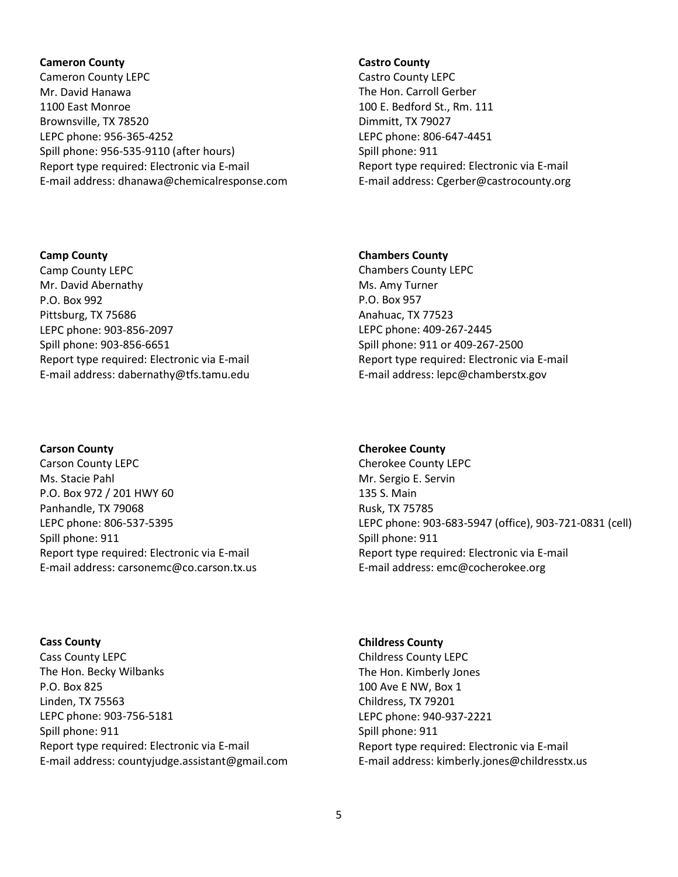# **Cameron County** Cameron County LEPC Mr. David Hanawa 1100 East Monroe Brownsville, TX 78520 LEPC phone: 956-365-4252 Spill phone: 956-535-9110 (after hours) Report type required: Electronic via E-mail E-mail address: dhanawa@chemicalresponse.com

# **Castro County**

Castro County LEPC The Hon. Carroll Gerber 100 E. Bedford St., Rm. 111 Dimmitt, TX 79027 LEPC phone: 806-647-4451 Spill phone: 911 Report type required: Electronic via E-mail E-mail address: Cgerber@castrocounty.org

# **Chambers County**

Chambers County LEPC Ms. Amy Turner P.O. Box 957 Anahuac, TX 77523 LEPC phone: 409-267-2445 Spill phone: 911 or 409-267-2500 Report type required: Electronic via E-mail E-mail address: lepc@chamberstx.gov

# **Cherokee County**

Cherokee County LEPC Mr. Sergio E. Servin 135 S. Main Rusk, TX 75785 LEPC phone: 903-683-5947 (office), 903-721-0831 (cell) Spill phone: 911 Report type required: Electronic via E-mail E-mail address: emc@cocherokee.org

# **Cass County** Cass County LEPC The Hon. Becky Wilbanks P.O. Box 825 Linden, TX 75563 LEPC phone: 903-756-5181 Spill phone: 911 Report type required: Electronic via E-mail E-mail address: countyjudge.assistant@gmail.com

# **Childress County** Childress County LEPC The Hon. Kimberly Jones 100 Ave E NW, Box 1 Childress, TX 79201 LEPC phone: 940-937-2221 Spill phone: 911 Report type required: Electronic via E-mail

Camp County LEPC Mr. David Abernathy P.O. Box 992 Pittsburg, TX 75686 LEPC phone: 903-856-2097 Spill phone: 903-856-6651 Report type required: Electronic via E-mail E-mail address: dabernathy@tfs.tamu.edu

# **Carson County**

**Camp County**

Carson County LEPC Ms. Stacie Pahl P.O. Box 972 / 201 HWY 60 Panhandle, TX 79068 LEPC phone: 806-537-5395 Spill phone: 911 Report type required: Electronic via E-mail E-mail address: carsonemc@co.carson.tx.us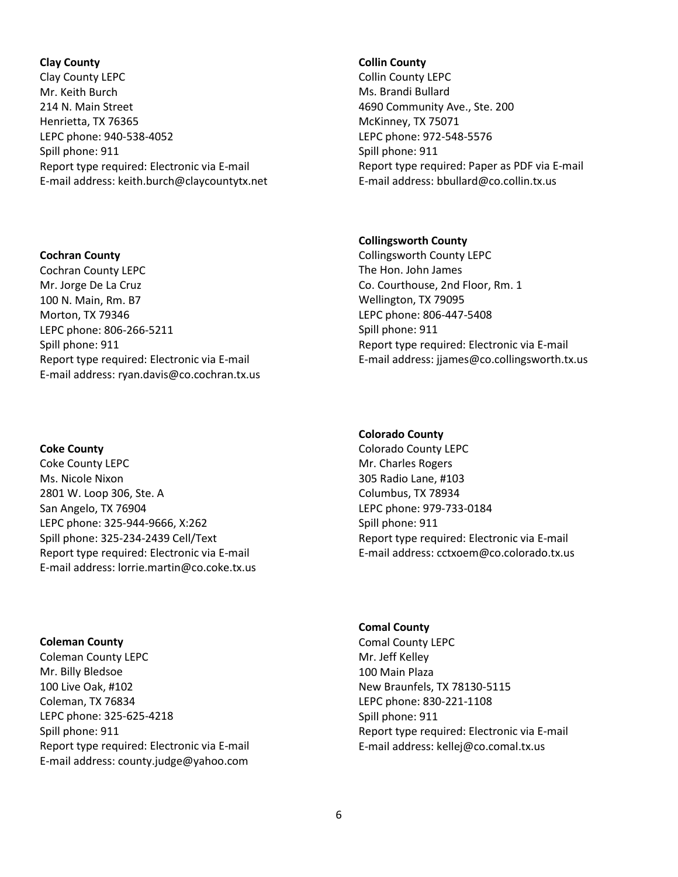#### **Clay County**

Clay County LEPC Mr. Keith Burch 214 N. Main Street Henrietta, TX 76365 LEPC phone: 940-538-4052 Spill phone: 911 Report type required: Electronic via E-mail E-mail address: keith.burch@claycountytx.net

### **Cochran County**

Cochran County LEPC Mr. Jorge De La Cruz 100 N. Main, Rm. B7 Morton, TX 79346 LEPC phone: 806-266-5211 Spill phone: 911 Report type required: Electronic via E-mail E-mail address: ryan.davis@co.cochran.tx.us

# **Coke County**

Coke County LEPC Ms. Nicole Nixon 2801 W. Loop 306, Ste. A San Angelo, TX 76904 LEPC phone: 325-944-9666, X:262 Spill phone: 325-234-2439 Cell/Text Report type required: Electronic via E-mail E-mail address: lorrie.martin@co.coke.tx.us

**Coleman County** Coleman County LEPC Mr. Billy Bledsoe 100 Live Oak, #102 Coleman, TX 76834 LEPC phone: 325-625-4218 Spill phone: 911 Report type required: Electronic via E-mail E-mail address: county.judge@yahoo.com

#### **Collin County**

Collin County LEPC Ms. Brandi Bullard 4690 Community Ave., Ste. 200 McKinney, TX 75071 LEPC phone: 972-548-5576 Spill phone: 911 Report type required: Paper as PDF via E-mail E-mail address: bbullard@co.collin.tx.us

# **Collingsworth County**

Collingsworth County LEPC The Hon. John James Co. Courthouse, 2nd Floor, Rm. 1 Wellington, TX 79095 LEPC phone: 806-447-5408 Spill phone: 911 Report type required: Electronic via E-mail E-mail address: jjames@co.collingsworth.tx.us

# **Colorado County**

Colorado County LEPC Mr. Charles Rogers 305 Radio Lane, #103 Columbus, TX 78934 LEPC phone: 979-733-0184 Spill phone: 911 Report type required: Electronic via E-mail E-mail address: cctxoem@co.colorado.tx.us

# **Comal County**

Comal County LEPC Mr. Jeff Kelley 100 Main Plaza New Braunfels, TX 78130-5115 LEPC phone: 830-221-1108 Spill phone: 911 Report type required: Electronic via E-mail E-mail address: kellej@co.comal.tx.us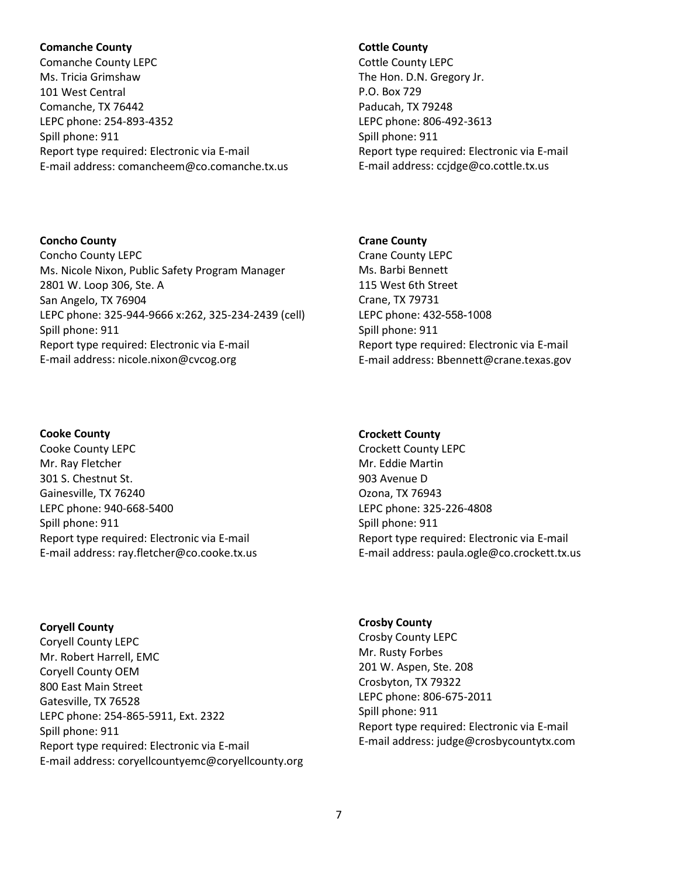# **Comanche County**

Comanche County LEPC Ms. Tricia Grimshaw 101 West Central Comanche, TX 76442 LEPC phone: 254-893-4352 Spill phone: 911 Report type required: Electronic via E-mail E-mail address: comancheem@co.comanche.tx.us

Ms. Nicole Nixon, Public Safety Program Manager

Report type required: Electronic via E-mail E-mail address: nicole.nixon@cvcog.org

LEPC phone: 325-944-9666 x:262, 325-234-2439 (cell)

# **Cottle County**

Cottle County LEPC The Hon. D.N. Gregory Jr. P.O. Box 729 Paducah, TX 79248 LEPC phone: 806-492-3613 Spill phone: 911 Report type required: Electronic via E-mail E-mail address: ccjdge@co.cottle.tx.us

# **Crane County**

Crane County LEPC Ms. Barbi Bennett 115 West 6th Street Crane, TX 79731 LEPC phone: 432-558-1008 Spill phone: 911 Report type required: Electronic via E-mail E-mail address: Bbennett@crane.texas.gov

#### **Cooke County**

**Concho County** Concho County LEPC

Spill phone: 911

2801 W. Loop 306, Ste. A San Angelo, TX 76904

Cooke County LEPC Mr. Ray Fletcher 301 S. Chestnut St. Gainesville, TX 76240 LEPC phone: 940-668-5400 Spill phone: 911 Report type required: Electronic via E-mail E-mail address: ray.fletcher@co.cooke.tx.us

**Coryell County** Coryell County LEPC Mr. Robert Harrell, EMC Coryell County OEM 800 East Main Street Gatesville, TX 76528 LEPC phone: 254-865-5911, Ext. 2322 Spill phone: 911 Report type required: Electronic via E-mail E-mail address: coryellcountyemc@coryellcounty.org

#### **Crockett County**

Crockett County LEPC Mr. Eddie Martin 903 Avenue D Ozona, TX 76943 LEPC phone: 325-226-4808 Spill phone: 911 Report type required: Electronic via E-mail E-mail address: paula.ogle@co.crockett.tx.us

**Crosby County** Crosby County LEPC Mr. Rusty Forbes 201 W. Aspen, Ste. 208 Crosbyton, TX 79322 LEPC phone: 806-675-2011 Spill phone: 911 Report type required: Electronic via E-mail E-mail address: judge@crosbycountytx.com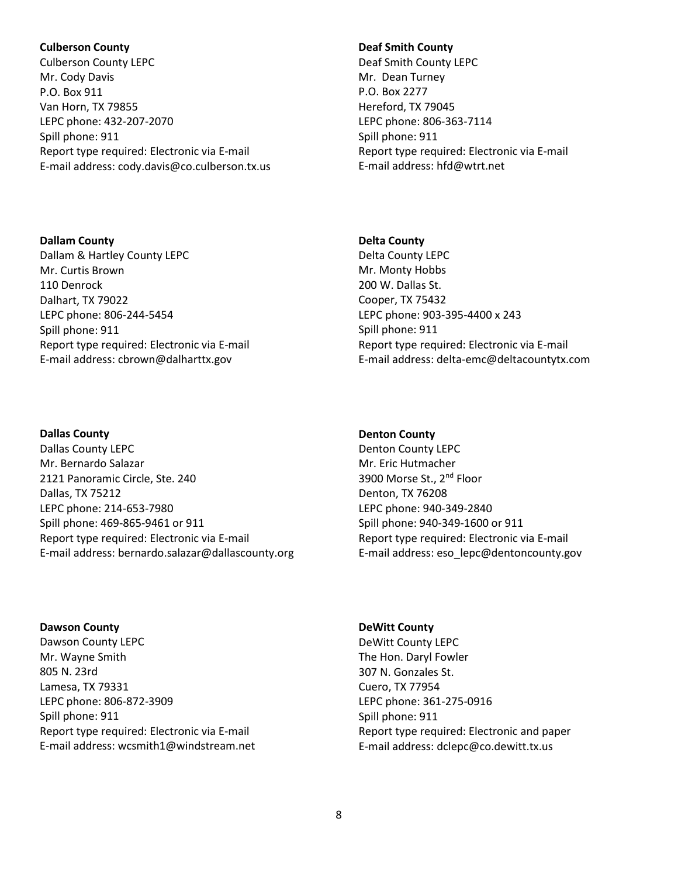# **Culberson County**

Culberson County LEPC Mr. Cody Davis P.O. Box 911 Van Horn, TX 79855 LEPC phone: 432-207-2070 Spill phone: 911 Report type required: Electronic via E-mail E-mail address: cody.davis@co.culberson.tx.us

**Dallam County** Dallam & Hartley County LEPC Mr. Curtis Brown 110 Denrock Dalhart, TX 79022 LEPC phone: 806-244-5454 Spill phone: 911 Report type required: Electronic via E-mail E-mail address: cbrown@dalharttx.gov

# **Dallas County**

Dallas County LEPC Mr. Bernardo Salazar 2121 Panoramic Circle, Ste. 240 Dallas, TX 75212 LEPC phone: 214-653-7980 Spill phone: 469-865-9461 or 911 Report type required: Electronic via E-mail E-mail address: bernardo.salazar@dallascounty.org

**Dawson County** Dawson County LEPC Mr. Wayne Smith 805 N. 23rd Lamesa, TX 79331 LEPC phone: 806-872-3909 Spill phone: 911 Report type required: Electronic via E-mail E-mail address: wcsmith1@windstream.net

# **Deaf Smith County**

Deaf Smith County LEPC Mr. Dean Turney P.O. Box 2277 Hereford, TX 79045 LEPC phone: 806-363-7114 Spill phone: 911 Report type required: Electronic via E-mail E-mail address: hfd@wtrt.net

# **Delta County**

Delta County LEPC Mr. Monty Hobbs 200 W. Dallas St. Cooper, TX 75432 LEPC phone: 903-395-4400 x 243 Spill phone: 911 Report type required: Electronic via E-mail E-mail address: delta-emc@deltacountytx.com

# **Denton County**

Denton County LEPC Mr. Eric Hutmacher 3900 Morse St., 2<sup>nd</sup> Floor Denton, TX 76208 LEPC phone: 940-349-2840 Spill phone: 940-349-1600 or 911 Report type required: Electronic via E-mail E-mail address: eso\_lepc@dentoncounty.gov

**DeWitt County** DeWitt County LEPC The Hon. Daryl Fowler 307 N. Gonzales St. Cuero, TX 77954 LEPC phone: 361-275-0916 Spill phone: 911 Report type required: Electronic and paper

E-mail address: dclepc@co.dewitt.tx.us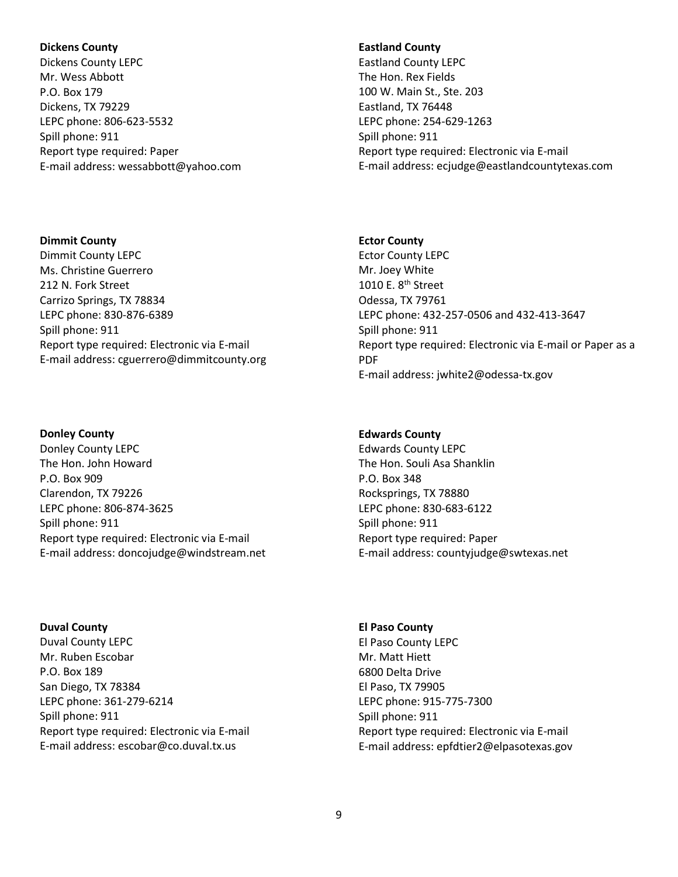# **Dickens County**

Dickens County LEPC Mr. Wess Abbott P.O. Box 179 Dickens, TX 79229 LEPC phone: 806-623-5532 Spill phone: 911 Report type required: Paper E-mail address: wessabbott@yahoo.com

# **Dimmit County**

Dimmit County LEPC Ms. Christine Guerrero 212 N. Fork Street Carrizo Springs, TX 78834 LEPC phone: 830-876-6389 Spill phone: 911 Report type required: Electronic via E-mail E-mail address: cguerrero@dimmitcounty.org

# **Donley County**

Donley County LEPC The Hon. John Howard P.O. Box 909 Clarendon, TX 79226 LEPC phone: 806-874-3625 Spill phone: 911 Report type required: Electronic via E-mail E-mail address: doncojudge@windstream.net

# **Duval County** Duval County LEPC Mr. Ruben Escobar P.O. Box 189 San Diego, TX 78384 LEPC phone: 361-279-6214 Spill phone: 911 Report type required: Electronic via E-mail E-mail address: escobar@co.duval.tx.us

# **Eastland County**

Eastland County LEPC The Hon. Rex Fields 100 W. Main St., Ste. 203 Eastland, TX 76448 LEPC phone: 254-629-1263 Spill phone: 911 Report type required: Electronic via E-mail E-mail address: ecjudge@eastlandcountytexas.com

# **Ector County**

Ector County LEPC Mr. Joey White 1010 E. 8<sup>th</sup> Street Odessa, TX 79761 LEPC phone: 432-257-0506 and 432-413-3647 Spill phone: 911 Report type required: Electronic via E-mail or Paper as a PDF E-mail address: jwhite2@odessa-tx.gov

# **Edwards County**

Edwards County LEPC The Hon. Souli Asa Shanklin P.O. Box 348 Rocksprings, TX 78880 LEPC phone: 830-683-6122 Spill phone: 911 Report type required: Paper E-mail address: countyjudge@swtexas.net

# **El Paso County** El Paso County LEPC Mr. Matt Hiett 6800 Delta Drive El Paso, TX 79905 LEPC phone: 915-775-7300 Spill phone: 911 Report type required: Electronic via E-mail E-mail address: epfdtier2@elpasotexas.gov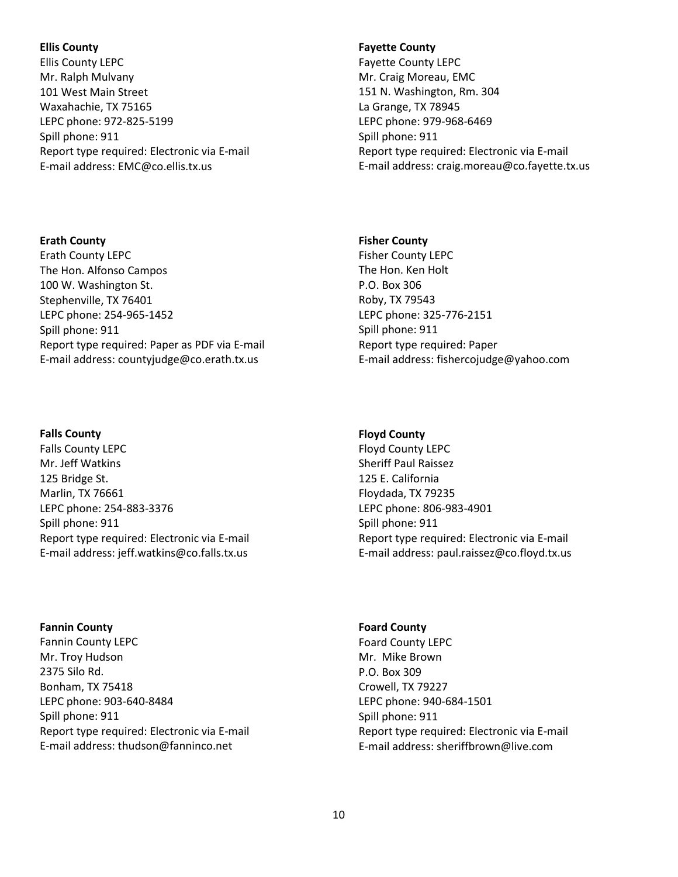# **Ellis County**

Ellis County LEPC Mr. Ralph Mulvany 101 West Main Street Waxahachie, TX 75165 LEPC phone: 972-825-5199 Spill phone: 911 Report type required: Electronic via E-mail E-mail address: EMC@co.ellis.tx.us

# **Erath County**

Erath County LEPC The Hon. Alfonso Campos 100 W. Washington St. Stephenville, TX 76401 LEPC phone: 254-965-1452 Spill phone: 911 Report type required: Paper as PDF via E-mail E-mail address: countyjudge@co.erath.tx.us

# **Falls County**

Falls County LEPC Mr. Jeff Watkins 125 Bridge St. Marlin, TX 76661 LEPC phone: 254-883-3376 Spill phone: 911 Report type required: Electronic via E-mail E-mail address: jeff.watkins@co.falls.tx.us

# **Fannin County**

Fannin County LEPC Mr. Troy Hudson 2375 Silo Rd. Bonham, TX 75418 LEPC phone: 903-640-8484 Spill phone: 911 Report type required: Electronic via E-mail E-mail address: thudson@fanninco.net

# **Fayette County**

Fayette County LEPC Mr. Craig Moreau, EMC 151 N. Washington, Rm. 304 La Grange, TX 78945 LEPC phone: 979-968-6469 Spill phone: 911 Report type required: Electronic via E-mail E-mail address: craig.moreau@co.fayette.tx.us

# **Fisher County**

Fisher County LEPC The Hon. Ken Holt P.O. Box 306 Roby, TX 79543 LEPC phone: 325-776-2151 Spill phone: 911 Report type required: Paper E-mail address: fishercojudge@yahoo.com

# **Floyd County**

Floyd County LEPC Sheriff Paul Raissez 125 E. California Floydada, TX 79235 LEPC phone: 806-983-4901 Spill phone: 911 Report type required: Electronic via E-mail E-mail address: paul.raissez@co.floyd.tx.us

# **Foard County**

Foard County LEPC Mr. Mike Brown P.O. Box 309 Crowell, TX 79227 LEPC phone: 940-684-1501 Spill phone: 911 Report type required: Electronic via E-mail E-mail address: sheriffbrown@live.com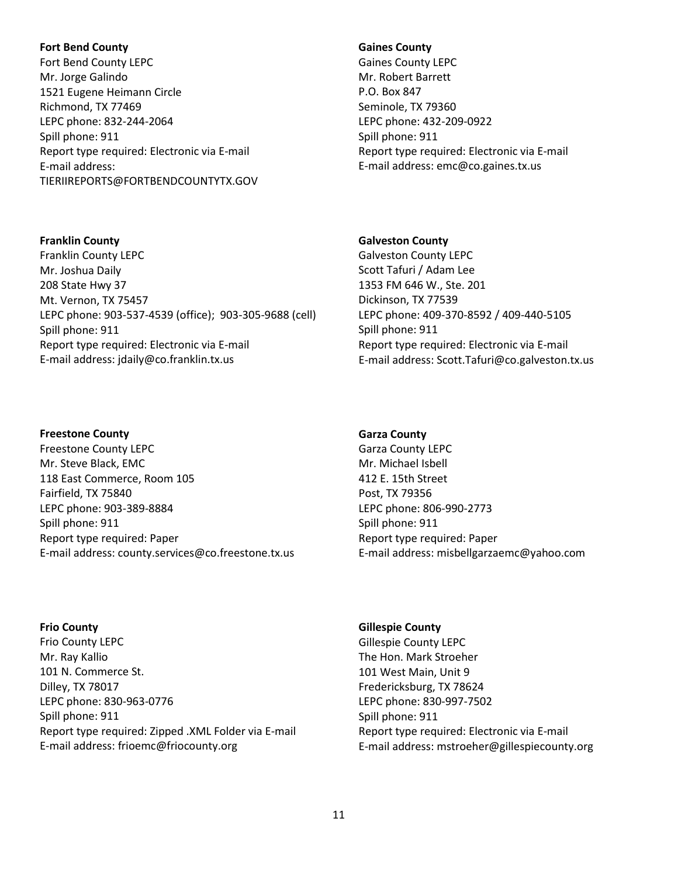# **Fort Bend County**

**Franklin County** Franklin County LEPC Mr. Joshua Daily 208 State Hwy 37 Mt. Vernon, TX 75457

Spill phone: 911

Fort Bend County LEPC Mr. Jorge Galindo 1521 Eugene Heimann Circle Richmond, TX 77469 LEPC phone: 832-244-2064 Spill phone: 911 Report type required: Electronic via E-mail E-mail address: TIERIIREPORTS@FORTBENDCOUNTYTX.GOV

# **Gaines County**

Gaines County LEPC Mr. Robert Barrett P.O. Box 847 Seminole, TX 79360 LEPC phone: 432-209-0922 Spill phone: 911 Report type required: Electronic via E-mail E-mail address: emc@co.gaines.tx.us

# **Galveston County**

Galveston County LEPC Scott Tafuri / Adam Lee 1353 FM 646 W., Ste. 201 Dickinson, TX 77539 LEPC phone: 409-370-8592 / 409-440-5105 Spill phone: 911 Report type required: Electronic via E-mail E-mail address: Scott.Tafuri@co.galveston.tx.us

#### **Freestone County**

Freestone County LEPC Mr. Steve Black, EMC 118 East Commerce, Room 105 Fairfield, TX 75840 LEPC phone: 903-389-8884 Spill phone: 911 Report type required: Paper E-mail address: county.services@co.freestone.tx.us

LEPC phone: 903-537-4539 (office); 903-305-9688 (cell)

Report type required: Electronic via E-mail E-mail address: jdaily@co.franklin.tx.us

#### **Frio County**

Frio County LEPC Mr. Ray Kallio 101 N. Commerce St. Dilley, TX 78017 LEPC phone: 830-963-0776 Spill phone: 911 Report type required: Zipped .XML Folder via E-mail E-mail address: frioemc@friocounty.org

# **Garza County**

Garza County LEPC Mr. Michael Isbell 412 E. 15th Street Post, TX 79356 LEPC phone: 806-990-2773 Spill phone: 911 Report type required: Paper E-mail address: misbellgarzaemc@yahoo.com

#### **Gillespie County**

Gillespie County LEPC The Hon. Mark Stroeher 101 West Main, Unit 9 Fredericksburg, TX 78624 LEPC phone: 830-997-7502 Spill phone: 911 Report type required: Electronic via E-mail E-mail address: mstroeher@gillespiecounty.org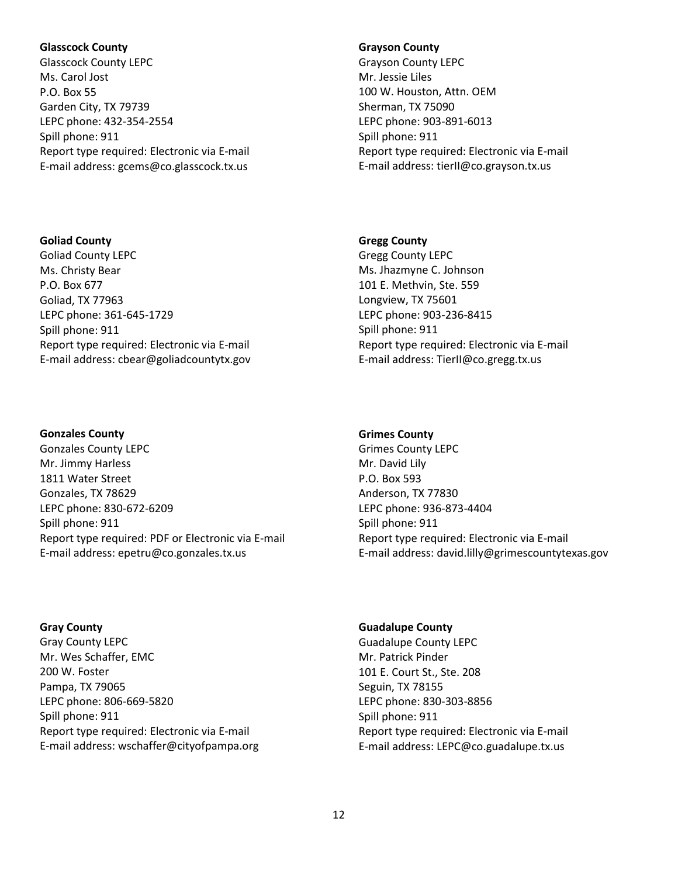# **Glasscock County**

Glasscock County LEPC Ms. Carol Jost P.O. Box 55 Garden City, TX 79739 LEPC phone: 432-354-2554 Spill phone: 911 Report type required: Electronic via E-mail E-mail address: gcems@co.glasscock.tx.us

# **Goliad County**

Goliad County LEPC Ms. Christy Bear P.O. Box 677 Goliad, TX 77963 LEPC phone: 361-645-1729 Spill phone: 911 Report type required: Electronic via E-mail E-mail address: cbear@goliadcountytx.gov

# **Gonzales County**

Gonzales County LEPC Mr. Jimmy Harless 1811 Water Street Gonzales, TX 78629 LEPC phone: 830-672-6209 Spill phone: 911 Report type required: PDF or Electronic via E-mail E-mail address: epetru@co.gonzales.tx.us

**Gray County** Gray County LEPC Mr. Wes Schaffer, EMC 200 W. Foster Pampa, TX 79065 LEPC phone: 806-669-5820 Spill phone: 911 Report type required: Electronic via E-mail E-mail address: wschaffer@cityofpampa.org

# **Grayson County**

Grayson County LEPC Mr. Jessie Liles 100 W. Houston, Attn. OEM Sherman, TX 75090 LEPC phone: 903-891-6013 Spill phone: 911 Report type required: Electronic via E-mail E-mail address: tierII@co.grayson.tx.us

# **Gregg County**

Gregg County LEPC Ms. Jhazmyne C. Johnson 101 E. Methvin, Ste. 559 Longview, TX 75601 LEPC phone: 903-236-8415 Spill phone: 911 Report type required: Electronic via E-mail E-mail address: TierII@co.gregg.tx.us

# **Grimes County**

Grimes County LEPC Mr. David Lily P.O. Box 593 Anderson, TX 77830 LEPC phone: 936-873-4404 Spill phone: 911 Report type required: Electronic via E-mail E-mail address: david.lilly@grimescountytexas.gov

# **Guadalupe County**

Guadalupe County LEPC Mr. Patrick Pinder 101 E. Court St., Ste. 208 Seguin, TX 78155 LEPC phone: 830-303-8856 Spill phone: 911 Report type required: Electronic via E-mail E-mail address: LEPC@co.guadalupe.tx.us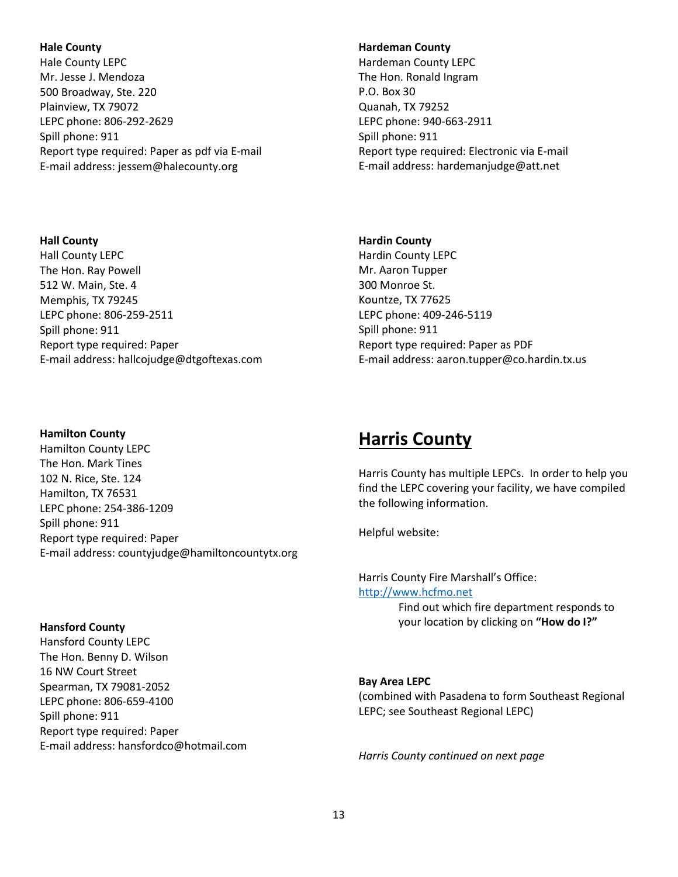# **Hale County**

Hale County LEPC Mr. Jesse J. Mendoza 500 Broadway, Ste. 220 Plainview, TX 79072 LEPC phone: 806-292-2629 Spill phone: 911 Report type required: Paper as pdf via E-mail E-mail address: jessem@halecounty.org

# **Hall County**

Hall County LEPC The Hon. Ray Powell 512 W. Main, Ste. 4 Memphis, TX 79245 LEPC phone: 806-259-2511 Spill phone: 911 Report type required: Paper E-mail address: hallcojudge@dtgoftexas.com

# **Hamilton County**

Hamilton County LEPC The Hon. Mark Tines 102 N. Rice, Ste. 124 Hamilton, TX 76531 LEPC phone: 254-386-1209 Spill phone: 911 Report type required: Paper E-mail address: countyjudge@hamiltoncountytx.org

# **Hansford County**

Hansford County LEPC The Hon. Benny D. Wilson 16 NW Court Street Spearman, TX 79081-2052 LEPC phone: 806-659-4100 Spill phone: 911 Report type required: Paper E-mail address: hansfordco@hotmail.com

# **Hardeman County**

Hardeman County LEPC The Hon. Ronald Ingram P.O. Box 30 Quanah, TX 79252 LEPC phone: 940-663-2911 Spill phone: 911 Report type required: Electronic via E-mail E-mail address: hardemanjudge@att.net

# **Hardin County**

Hardin County LEPC Mr. Aaron Tupper 300 Monroe St. Kountze, TX 77625 LEPC phone: 409-246-5119 Spill phone: 911 Report type required: Paper as PDF E-mail address: aaron.tupper@co.hardin.tx.us

# **Harris County**

Harris County has multiple LEPCs. In order to help you find the LEPC covering your facility, we have compiled the following information.

Helpful website:

Harris County Fire Marshall's Office: [http://www.hcfmo.net](http://www.hcfmo.net/)  Find out which fire department responds to

your location by clicking on **"How do I?"**

# **Bay Area LEPC**

(combined with Pasadena to form Southeast Regional LEPC; see Southeast Regional LEPC)

*Harris County continued on next page*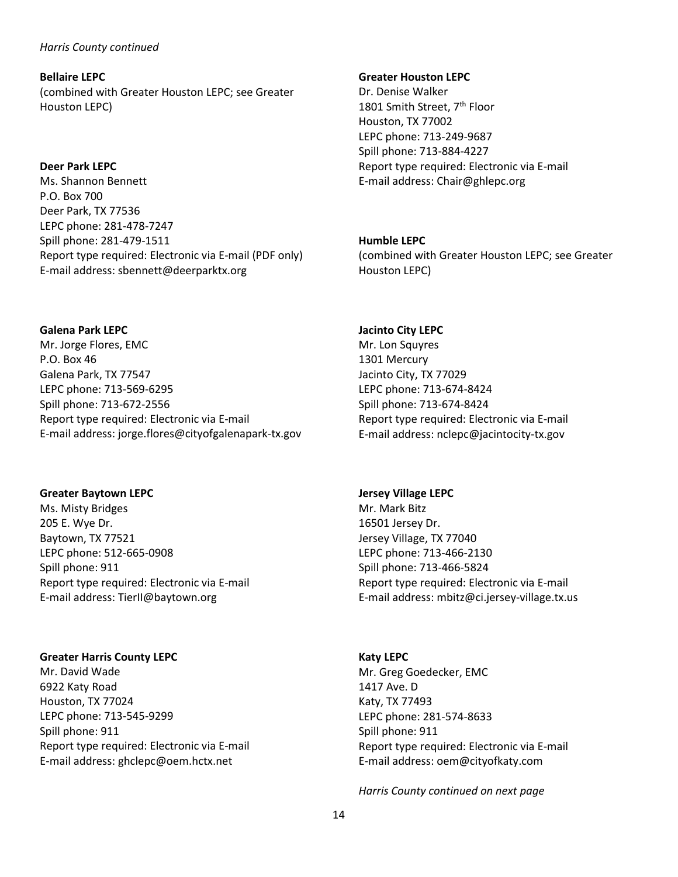# *Harris County continued*

**Bellaire LEPC** (combined with Greater Houston LEPC; see Greater Houston LEPC)

# **Deer Park LEPC**

Ms. Shannon Bennett P.O. Box 700 Deer Park, TX 77536 LEPC phone: 281-478-7247 Spill phone: 281-479-1511 Report type required: Electronic via E-mail (PDF only) E-mail address: sbennett@deerparktx.org

#### **Galena Park LEPC**

Mr. Jorge Flores, EMC P.O. Box 46 Galena Park, TX 77547 LEPC phone: 713-569-6295 Spill phone: 713-672-2556 Report type required: Electronic via E-mail E-mail address: jorge.flores@cityofgalenapark-tx.gov

# **Greater Baytown LEPC**

Ms. Misty Bridges 205 E. Wye Dr. Baytown, TX 77521 LEPC phone: 512-665-0908 Spill phone: 911 Report type required: Electronic via E-mail E-mail address: TierII@baytown.org

# **Greater Harris County LEPC**

Mr. David Wade 6922 Katy Road Houston, TX 77024 LEPC phone: 713-545-9299 Spill phone: 911 Report type required: Electronic via E-mail E-mail address: ghclepc@oem.hctx.net

#### **Greater Houston LEPC**

Dr. Denise Walker 1801 Smith Street, 7<sup>th</sup> Floor Houston, TX 77002 LEPC phone: 713-249-9687 Spill phone: 713-884-4227 Report type required: Electronic via E-mail E-mail address: Chair@ghlepc.org

# **Humble LEPC**

(combined with Greater Houston LEPC; see Greater Houston LEPC)

# **Jacinto City LEPC**

Mr. Lon Squyres 1301 Mercury Jacinto City, TX 77029 LEPC phone: 713-674-8424 Spill phone: 713-674-8424 Report type required: Electronic via E-mail E-mail address: nclepc@jacintocity-tx.gov

#### **Jersey Village LEPC**

Mr. Mark Bitz 16501 Jersey Dr. Jersey Village, TX 77040 LEPC phone: 713-466-2130 Spill phone: 713-466-5824 Report type required: Electronic via E-mail E-mail address: mbitz@ci.jersey-village.tx.us

# **Katy LEPC**

Mr. Greg Goedecker, EMC 1417 Ave. D Katy, TX 77493 LEPC phone: 281-574-8633 Spill phone: 911 Report type required: Electronic via E-mail E-mail address: oem@cityofkaty.com

*Harris County continued on next page*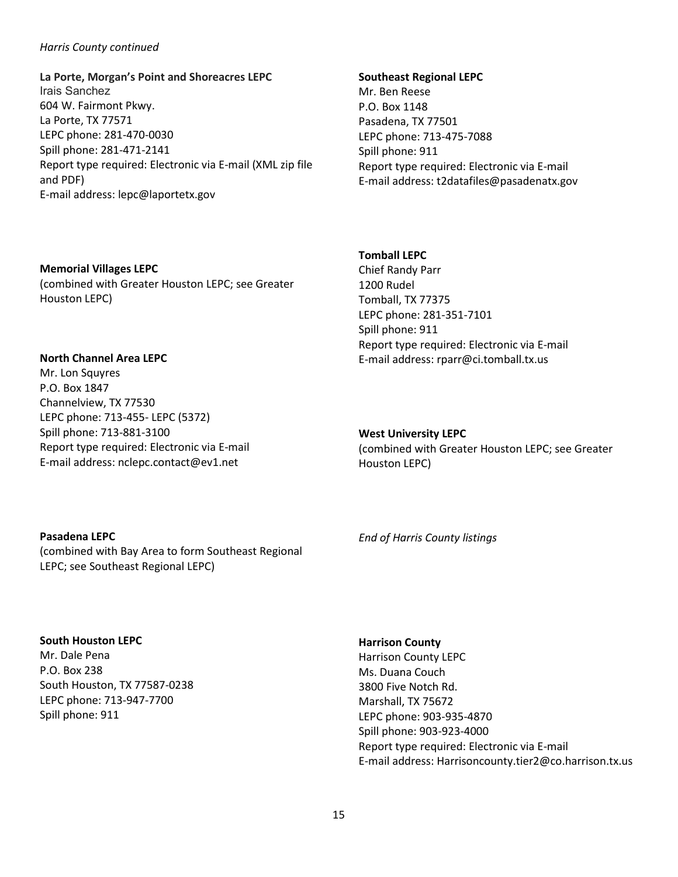# *Harris County continued*

**La Porte, Morgan's Point and Shoreacres LEPC** Irais Sanchez 604 W. Fairmont Pkwy. La Porte, TX 77571 LEPC phone: 281-470-0030 Spill phone: 281-471-2141 Report type required: Electronic via E-mail (XML zip file and PDF) E-mail address: lepc@laportetx.gov

#### **Southeast Regional LEPC**

Mr. Ben Reese P.O. Box 1148 Pasadena, TX 77501 LEPC phone: 713-475-7088 Spill phone: 911 Report type required: Electronic via E-mail E-mail address: t2datafiles@pasadenatx.gov

# **Memorial Villages LEPC** (combined with Greater Houston LEPC; see Greater Houston LEPC)

**North Channel Area LEPC** Mr. Lon Squyres P.O. Box 1847 Channelview, TX 77530 LEPC phone: 713-455- LEPC (5372) Spill phone: 713-881-3100 Report type required: Electronic via E-mail E-mail address: nclepc.contact@ev1.net

# **Tomball LEPC**

Chief Randy Parr 1200 Rudel Tomball, TX 77375 LEPC phone: 281-351-7101 Spill phone: 911 Report type required: Electronic via E-mail E-mail address: rparr@ci.tomball.tx.us

#### **West University LEPC**

(combined with Greater Houston LEPC; see Greater Houston LEPC)

# **Pasadena LEPC**

(combined with Bay Area to form Southeast Regional LEPC; see Southeast Regional LEPC)

**South Houston LEPC**

Mr. Dale Pena P.O. Box 238 South Houston, TX 77587-0238 LEPC phone: 713-947-7700 Spill phone: 911

*End of Harris County listings*

# **Harrison County**

Harrison County LEPC Ms. Duana Couch 3800 Five Notch Rd. Marshall, TX 75672 LEPC phone: 903-935-4870 Spill phone: 903-923-4000 Report type required: Electronic via E-mail E-mail address: Harrisoncounty.tier2@co.harrison.tx.us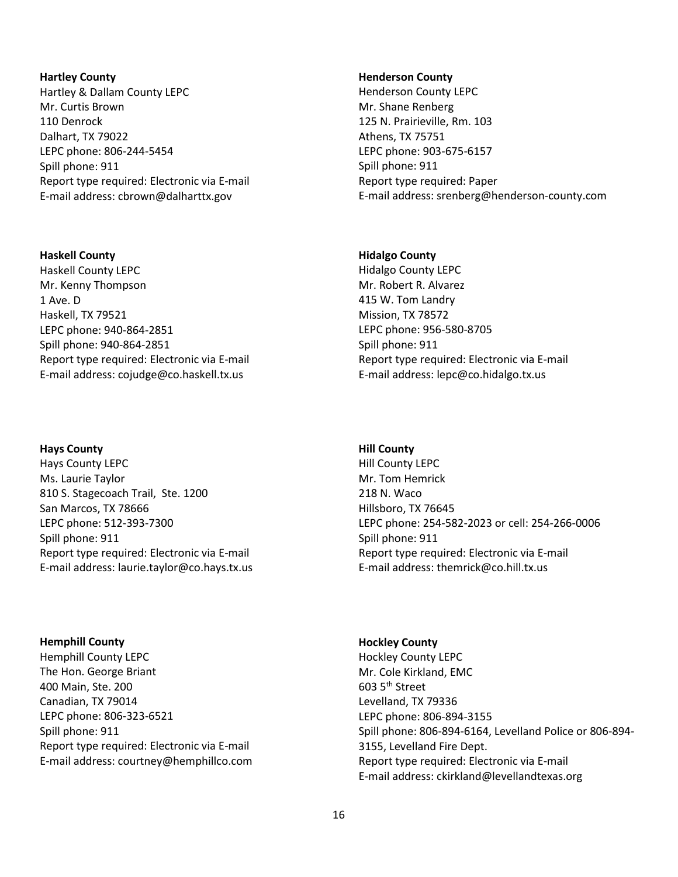#### **Hartley County**

Hartley & Dallam County LEPC Mr. Curtis Brown 110 Denrock Dalhart, TX 79022 LEPC phone: 806-244-5454 Spill phone: 911 Report type required: Electronic via E-mail E-mail address: cbrown@dalharttx.gov

# **Haskell County**

Haskell County LEPC Mr. Kenny Thompson 1 Ave. D Haskell, TX 79521 LEPC phone: 940-864-2851 Spill phone: 940-864-2851 Report type required: Electronic via E-mail E-mail address: cojudge@co.haskell.tx.us

# **Hays County**

Hays County LEPC Ms. Laurie Taylor 810 S. Stagecoach Trail, Ste. 1200 San Marcos, TX 78666 LEPC phone: 512-393-7300 Spill phone: 911 Report type required: Electronic via E-mail E-mail address: laurie.taylor@co.hays.tx.us

**Hemphill County** Hemphill County LEPC The Hon. George Briant 400 Main, Ste. 200 Canadian, TX 79014 LEPC phone: 806-323-6521 Spill phone: 911 Report type required: Electronic via E-mail E-mail address: courtney@hemphillco.com

#### **Henderson County**

Henderson County LEPC Mr. Shane Renberg 125 N. Prairieville, Rm. 103 Athens, TX 75751 LEPC phone: 903-675-6157 Spill phone: 911 Report type required: Paper E-mail address: srenberg@henderson-county.com

# **Hidalgo County**

Hidalgo County LEPC Mr. Robert R. Alvarez 415 W. Tom Landry Mission, TX 78572 LEPC phone: 956-580-8705 Spill phone: 911 Report type required: Electronic via E-mail E-mail address: lepc@co.hidalgo.tx.us

#### **Hill County**

Hill County LEPC Mr. Tom Hemrick 218 N. Waco Hillsboro, TX 76645 LEPC phone: 254-582-2023 or cell: 254-266-0006 Spill phone: 911 Report type required: Electronic via E-mail E-mail address: themrick@co.hill.tx.us

# **Hockley County**

Hockley County LEPC Mr. Cole Kirkland, EMC 603 5th Street Levelland, TX 79336 LEPC phone: 806-894-3155 Spill phone: 806-894-6164, Levelland Police or 806-894- 3155, Levelland Fire Dept. Report type required: Electronic via E-mail E-mail address: ckirkland@levellandtexas.org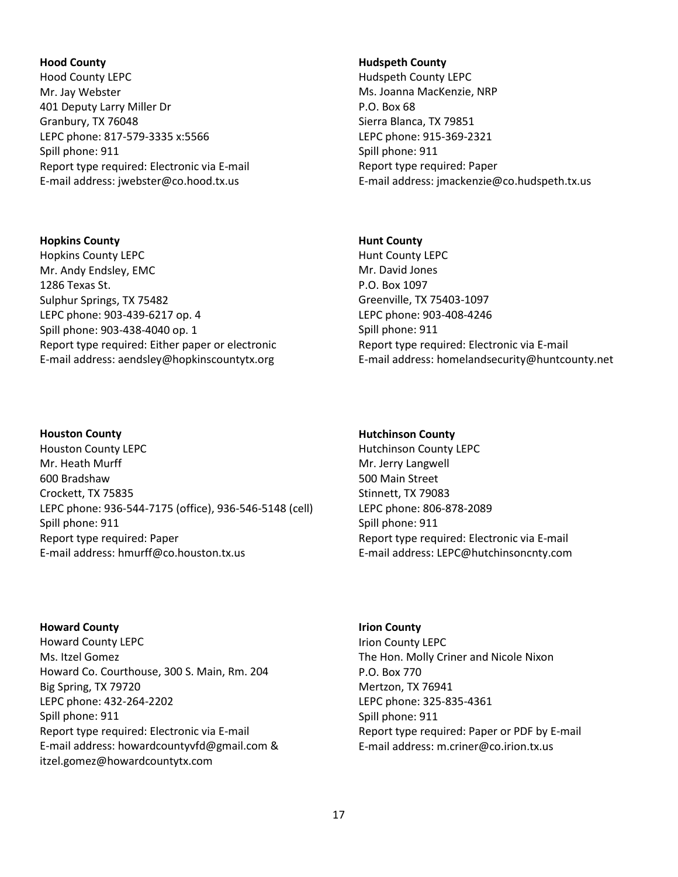#### **Hood County**

Hood County LEPC Mr. Jay Webster 401 Deputy Larry Miller Dr Granbury, TX 76048 LEPC phone: 817-579-3335 x:5566 Spill phone: 911 Report type required: Electronic via E-mail E-mail address: jwebster@co.hood.tx.us

# **Hopkins County** Hopkins County LEPC Mr. Andy Endsley, EMC 1286 Texas St. Sulphur Springs, TX 75482 LEPC phone: 903-439-6217 op. 4 Spill phone: 903-438-4040 op. 1 Report type required: Either paper or electronic E-mail address: aendsley@hopkinscountytx.org

#### **Houston County**

Houston County LEPC Mr. Heath Murff 600 Bradshaw Crockett, TX 75835 LEPC phone: 936-544-7175 (office), 936-546-5148 (cell) Spill phone: 911 Report type required: Paper E-mail address: hmurff@co.houston.tx.us

**Howard County** Howard County LEPC Ms. Itzel Gomez Howard Co. Courthouse, 300 S. Main, Rm. 204 Big Spring, TX 79720 LEPC phone: 432-264-2202 Spill phone: 911 Report type required: Electronic via E-mail E-mail address: howardcountyvfd@gmail.com & itzel.gomez@howardcountytx.com

#### **Hudspeth County**

Hudspeth County LEPC Ms. Joanna MacKenzie, NRP P.O. Box 68 Sierra Blanca, TX 79851 LEPC phone: 915-369-2321 Spill phone: 911 Report type required: Paper E-mail address: jmackenzie@co.hudspeth.tx.us

# **Hunt County**

Hunt County LEPC Mr. David Jones P.O. Box 1097 Greenville, TX 75403-1097 LEPC phone: 903-408-4246 Spill phone: 911 Report type required: Electronic via E-mail E-mail address: homelandsecurity@huntcounty.net

# **Hutchinson County**

Hutchinson County LEPC Mr. Jerry Langwell 500 Main Street Stinnett, TX 79083 LEPC phone: 806-878-2089 Spill phone: 911 Report type required: Electronic via E-mail E-mail address: LEPC@hutchinsoncnty.com

**Irion County** Irion County LEPC The Hon. Molly Criner and Nicole Nixon P.O. Box 770 Mertzon, TX 76941 LEPC phone: 325-835-4361 Spill phone: 911 Report type required: Paper or PDF by E-mail E-mail address: m.criner@co.irion.tx.us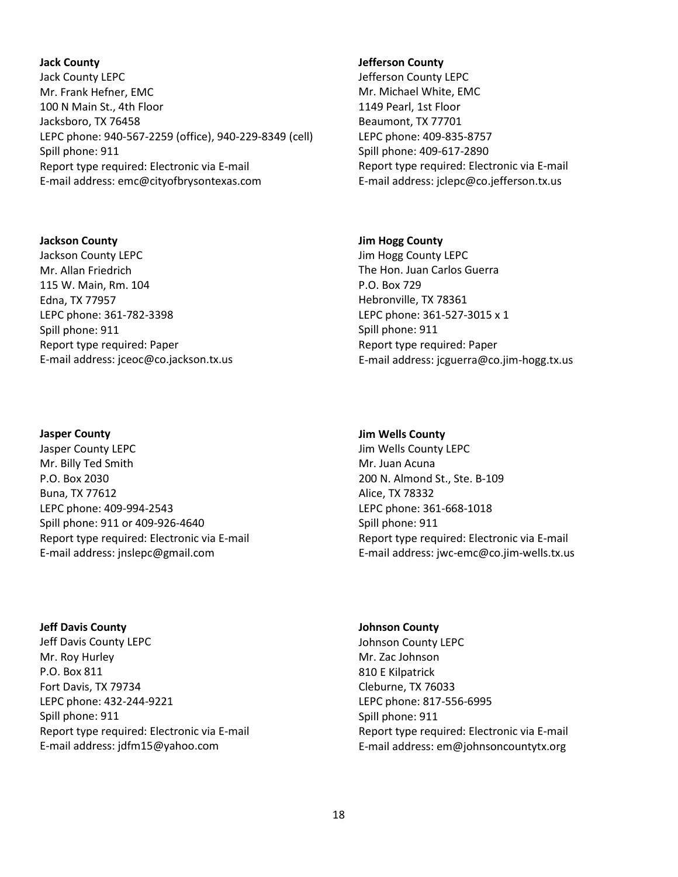### **Jack County**

Jack County LEPC Mr. Frank Hefner, EMC 100 N Main St., 4th Floor Jacksboro, TX 76458 LEPC phone: 940-567-2259 (office), 940-229-8349 (cell) Spill phone: 911 Report type required: Electronic via E-mail E-mail address: emc@cityofbrysontexas.com

### **Jackson County**

Jackson County LEPC Mr. Allan Friedrich 115 W. Main, Rm. 104 Edna, TX 77957 LEPC phone: 361-782-3398 Spill phone: 911 Report type required: Paper E-mail address: jceoc@co.jackson.tx.us

# **Jasper County**

Jasper County LEPC Mr. Billy Ted Smith P.O. Box 2030 Buna, TX 77612 LEPC phone: 409-994-2543 Spill phone: 911 or 409-926-4640 Report type required: Electronic via E-mail E-mail address: jnslepc@gmail.com

# **Jeff Davis County**

Jeff Davis County LEPC Mr. Roy Hurley P.O. Box 811 Fort Davis, TX 79734 LEPC phone: 432-244-9221 Spill phone: 911 Report type required: Electronic via E-mail E-mail address: jdfm15@yahoo.com

#### **Jefferson County**

Jefferson County LEPC Mr. Michael White, EMC 1149 Pearl, 1st Floor Beaumont, TX 77701 LEPC phone: 409-835-8757 Spill phone: 409-617-2890 Report type required: Electronic via E-mail E-mail address: jclepc@co.jefferson.tx.us

# **Jim Hogg County**

Jim Hogg County LEPC The Hon. Juan Carlos Guerra P.O. Box 729 Hebronville, TX 78361 LEPC phone: 361-527-3015 x 1 Spill phone: 911 Report type required: Paper E-mail address: jcguerra@co.jim-hogg.tx.us

### **Jim Wells County**

Jim Wells County LEPC Mr. Juan Acuna 200 N. Almond St., Ste. B-109 Alice, TX 78332 LEPC phone: 361-668-1018 Spill phone: 911 Report type required: Electronic via E-mail E-mail address: jwc-emc@co.jim-wells.tx.us

# **Johnson County** Johnson County LEPC Mr. Zac Johnson 810 E Kilpatrick Cleburne, TX 76033 LEPC phone: 817-556-6995 Spill phone: 911 Report type required: Electronic via E-mail E-mail address: em@johnsoncountytx.org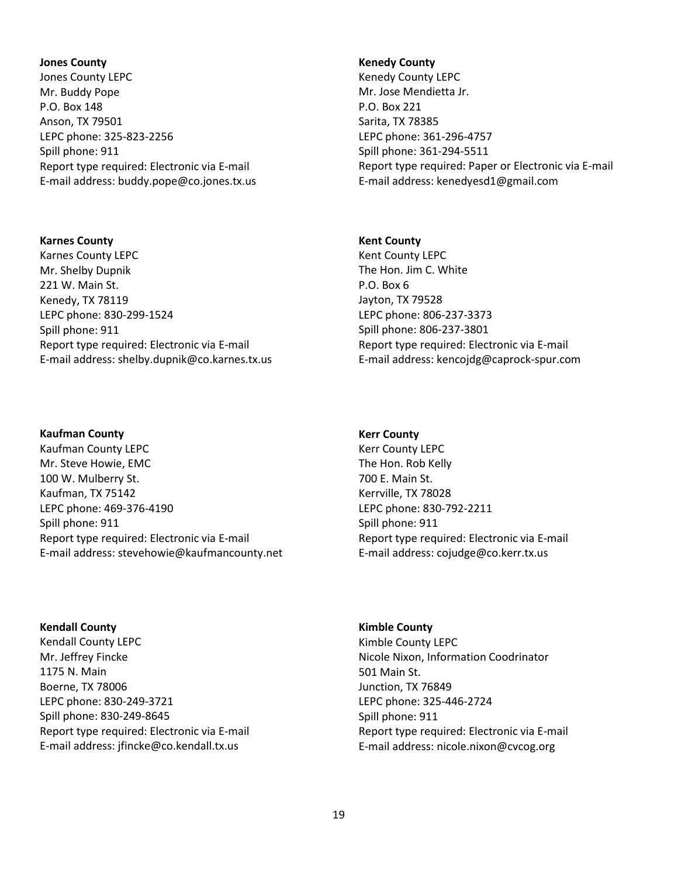**Jones County** Jones County LEPC Mr. Buddy Pope P.O. Box 148 Anson, TX 79501 LEPC phone: 325-823-2256 Spill phone: 911 Report type required: Electronic via E-mail E-mail address: buddy.pope@co.jones.tx.us

**Karnes County** Karnes County LEPC Mr. Shelby Dupnik 221 W. Main St. Kenedy, TX 78119 LEPC phone: 830-299-1524 Spill phone: 911 Report type required: Electronic via E-mail E-mail address: shelby.dupnik@co.karnes.tx.us

# **Kaufman County**

Kaufman County LEPC Mr. Steve Howie, EMC 100 W. Mulberry St. Kaufman, TX 75142 LEPC phone: 469-376-4190 Spill phone: 911 Report type required: Electronic via E-mail E-mail address: stevehowie@kaufmancounty.net

# **Kendall County**

Kendall County LEPC Mr. Jeffrey Fincke 1175 N. Main Boerne, TX 78006 LEPC phone: 830-249-3721 Spill phone: 830-249-8645 Report type required: Electronic via E-mail E-mail address: jfincke@co.kendall.tx.us

#### **Kenedy County**

Kenedy County LEPC Mr. Jose Mendietta Jr. P.O. Box 221 Sarita, TX 78385 LEPC phone: 361-296-4757 Spill phone: 361-294-5511 Report type required: Paper or Electronic via E-mail E-mail address: kenedyesd1@gmail.com

# **Kent County**

Kent County LEPC The Hon. Jim C. White P.O. Box 6 Jayton, TX 79528 LEPC phone: 806-237-3373 Spill phone: 806-237-3801 Report type required: Electronic via E-mail E-mail address: kencojdg@caprock-spur.com

#### **Kerr County**

Kerr County LEPC The Hon. Rob Kelly 700 E. Main St. Kerrville, TX 78028 LEPC phone: 830-792-2211 Spill phone: 911 Report type required: Electronic via E-mail E-mail address: cojudge@co.kerr.tx.us

# **Kimble County**

Kimble County LEPC Nicole Nixon, Information Coodrinator 501 Main St. Junction, TX 76849 LEPC phone: 325-446-2724 Spill phone: 911 Report type required: Electronic via E-mail E-mail address: nicole.nixon@cvcog.org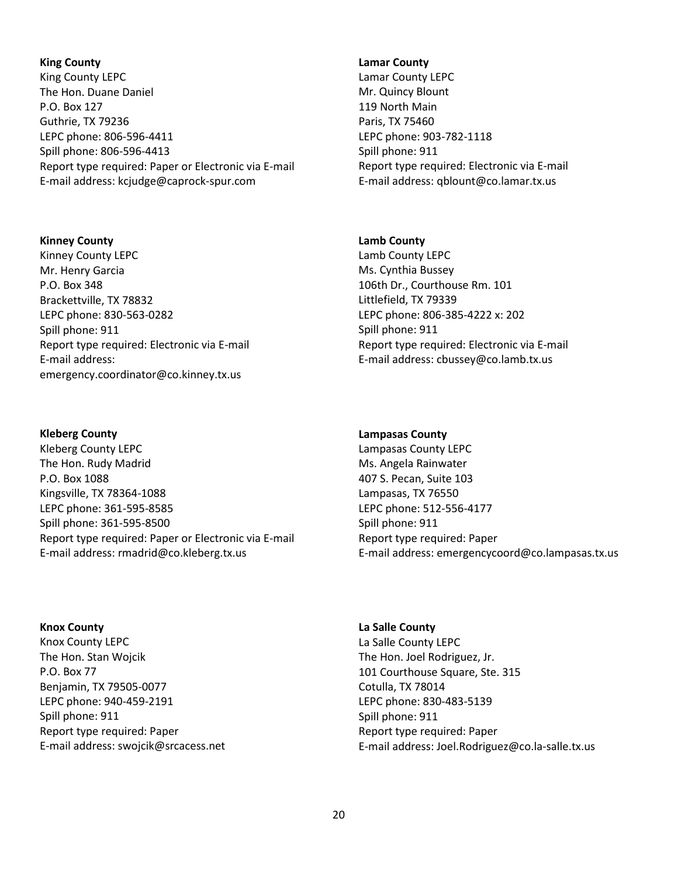# **King County**

King County LEPC The Hon. Duane Daniel P.O. Box 127 Guthrie, TX 79236 LEPC phone: 806-596-4411 Spill phone: 806-596-4413 Report type required: Paper or Electronic via E-mail E-mail address: kcjudge@caprock-spur.com

### **Kinney County**

Kinney County LEPC Mr. Henry Garcia P.O. Box 348 Brackettville, TX 78832 LEPC phone: 830-563-0282 Spill phone: 911 Report type required: Electronic via E-mail E-mail address: emergency.coordinator@co.kinney.tx.us

# **Kleberg County**

Kleberg County LEPC The Hon. Rudy Madrid P.O. Box 1088 Kingsville, TX 78364-1088 LEPC phone: 361-595-8585 Spill phone: 361-595-8500 Report type required: Paper or Electronic via E-mail E-mail address: rmadrid@co.kleberg.tx.us

# **Knox County**

Knox County LEPC The Hon. Stan Wojcik P.O. Box 77 Benjamin, TX 79505-0077 LEPC phone: 940-459-2191 Spill phone: 911 Report type required: Paper E-mail address: swojcik@srcacess.net

#### **Lamar County**

Lamar County LEPC Mr. Quincy Blount 119 North Main Paris, TX 75460 LEPC phone: 903-782-1118 Spill phone: 911 Report type required: Electronic via E-mail E-mail address: qblount@co.lamar.tx.us

# **Lamb County**

Lamb County LEPC Ms. Cynthia Bussey 106th Dr., Courthouse Rm. 101 Littlefield, TX 79339 LEPC phone: 806-385-4222 x: 202 Spill phone: 911 Report type required: Electronic via E-mail E-mail address: cbussey@co.lamb.tx.us

# **Lampasas County**

Lampasas County LEPC Ms. Angela Rainwater 407 S. Pecan, Suite 103 Lampasas, TX 76550 LEPC phone: 512-556-4177 Spill phone: 911 Report type required: Paper E-mail address: emergencycoord@co.lampasas.tx.us

# **La Salle County** La Salle County LEPC The Hon. Joel Rodriguez, Jr. 101 Courthouse Square, Ste. 315 Cotulla, TX 78014 LEPC phone: 830-483-5139 Spill phone: 911 Report type required: Paper E-mail address: Joel.Rodriguez@co.la-salle.tx.us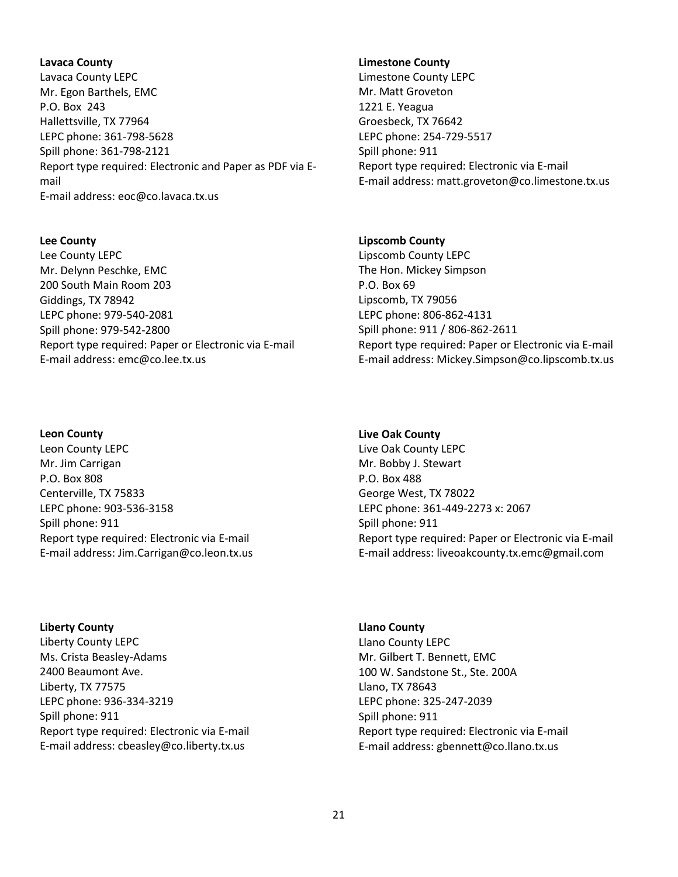# **Lavaca County**

Lavaca County LEPC Mr. Egon Barthels, EMC P.O. Box 243 Hallettsville, TX 77964 LEPC phone: 361-798-5628 Spill phone: 361-798-2121 Report type required: Electronic and Paper as PDF via Email E-mail address: eoc@co.lavaca.tx.us

### **Lee County**

Lee County LEPC Mr. Delynn Peschke, EMC 200 South Main Room 203 Giddings, TX 78942 LEPC phone: 979-540-2081 Spill phone: 979-542-2800 Report type required: Paper or Electronic via E-mail E-mail address: emc@co.lee.tx.us

# **Leon County**

Leon County LEPC Mr. Jim Carrigan P.O. Box 808 Centerville, TX 75833 LEPC phone: 903-536-3158 Spill phone: 911 Report type required: Electronic via E-mail E-mail address: Jim.Carrigan@co.leon.tx.us

**Liberty County** Liberty County LEPC Ms. Crista Beasley-Adams 2400 Beaumont Ave. Liberty, TX 77575 LEPC phone: 936-334-3219 Spill phone: 911 Report type required: Electronic via E-mail E-mail address: cbeasley@co.liberty.tx.us

#### **Limestone County**

Limestone County LEPC Mr. Matt Groveton 1221 E. Yeagua Groesbeck, TX 76642 LEPC phone: 254-729-5517 Spill phone: 911 Report type required: Electronic via E-mail E-mail address: matt.groveton@co.limestone.tx.us

# **Lipscomb County**

Lipscomb County LEPC The Hon. Mickey Simpson P.O. Box 69 Lipscomb, TX 79056 LEPC phone: 806-862-4131 Spill phone: 911 / 806-862-2611 Report type required: Paper or Electronic via E-mail E-mail address: Mickey.Simpson@co.lipscomb.tx.us

# **Live Oak County**

Live Oak County LEPC Mr. Bobby J. Stewart P.O. Box 488 George West, TX 78022 LEPC phone: 361-449-2273 x: 2067 Spill phone: 911 Report type required: Paper or Electronic via E-mail E-mail address: liveoakcounty.tx.emc@gmail.com

# **Llano County** Llano County LEPC Mr. Gilbert T. Bennett, EMC 100 W. Sandstone St., Ste. 200A Llano, TX 78643 LEPC phone: 325-247-2039 Spill phone: 911 Report type required: Electronic via E-mail E-mail address: gbennett@co.llano.tx.us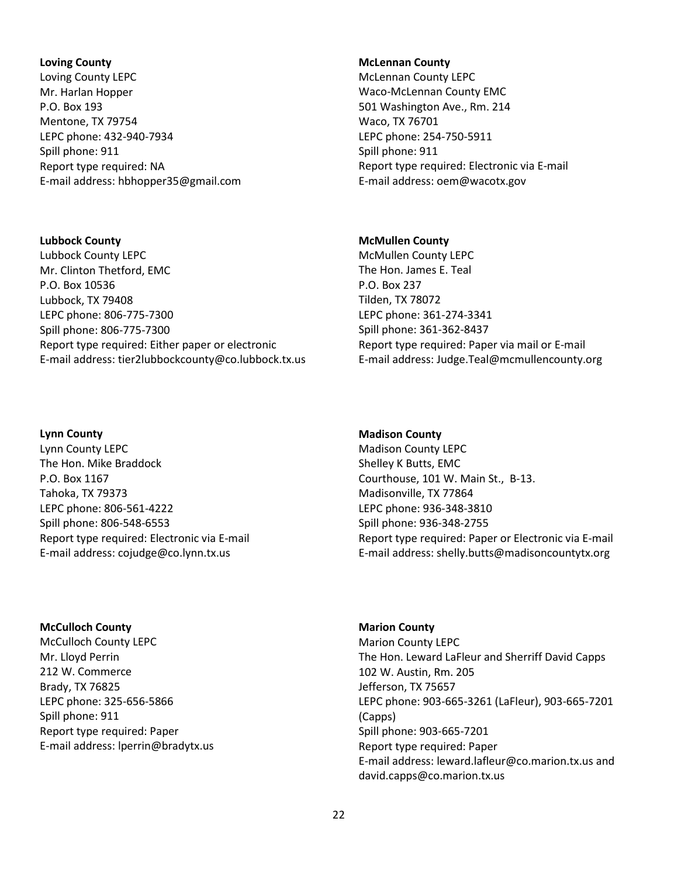#### **Loving County**

Loving County LEPC Mr. Harlan Hopper P.O. Box 193 Mentone, TX 79754 LEPC phone: 432-940-7934 Spill phone: 911 Report type required: NA E-mail address: hbhopper35@gmail.com

# **Lubbock County**

Lubbock County LEPC Mr. Clinton Thetford, EMC P.O. Box 10536 Lubbock, TX 79408 LEPC phone: 806-775-7300 Spill phone: 806-775-7300 Report type required: Either paper or electronic E-mail address: tier2lubbockcounty@co.lubbock.tx.us

# **Lynn County**

Lynn County LEPC The Hon. Mike Braddock P.O. Box 1167 Tahoka, TX 79373 LEPC phone: 806-561-4222 Spill phone: 806-548-6553 Report type required: Electronic via E-mail E-mail address: cojudge@co.lynn.tx.us

#### **McCulloch County**

McCulloch County LEPC Mr. Lloyd Perrin 212 W. Commerce Brady, TX 76825 LEPC phone: 325-656-5866 Spill phone: 911 Report type required: Paper E-mail address: lperrin@bradytx.us

#### **McLennan County**

McLennan County LEPC Waco-McLennan County EMC 501 Washington Ave., Rm. 214 Waco, TX 76701 LEPC phone: 254-750-5911 Spill phone: 911 Report type required: Electronic via E-mail E-mail address: oem@wacotx.gov

# **McMullen County**

McMullen County LEPC The Hon. James E. Teal P.O. Box 237 Tilden, TX 78072 LEPC phone: 361-274-3341 Spill phone: 361-362-8437 Report type required: Paper via mail or E-mail E-mail address: Judge.Teal@mcmullencounty.org

#### **Madison County**

Madison County LEPC Shelley K Butts, EMC Courthouse, 101 W. Main St., B-13. Madisonville, TX 77864 LEPC phone: 936-348-3810 Spill phone: 936-348-2755 Report type required: Paper or Electronic via E-mail E-mail address: shelly.butts@madisoncountytx.org

# **Marion County**

Marion County LEPC The Hon. Leward LaFleur and Sherriff David Capps 102 W. Austin, Rm. 205 Jefferson, TX 75657 LEPC phone: 903-665-3261 (LaFleur), 903-665-7201 (Capps) Spill phone: 903-665-7201 Report type required: Paper E-mail address: leward.lafleur@co.marion.tx.us and david.capps@co.marion.tx.us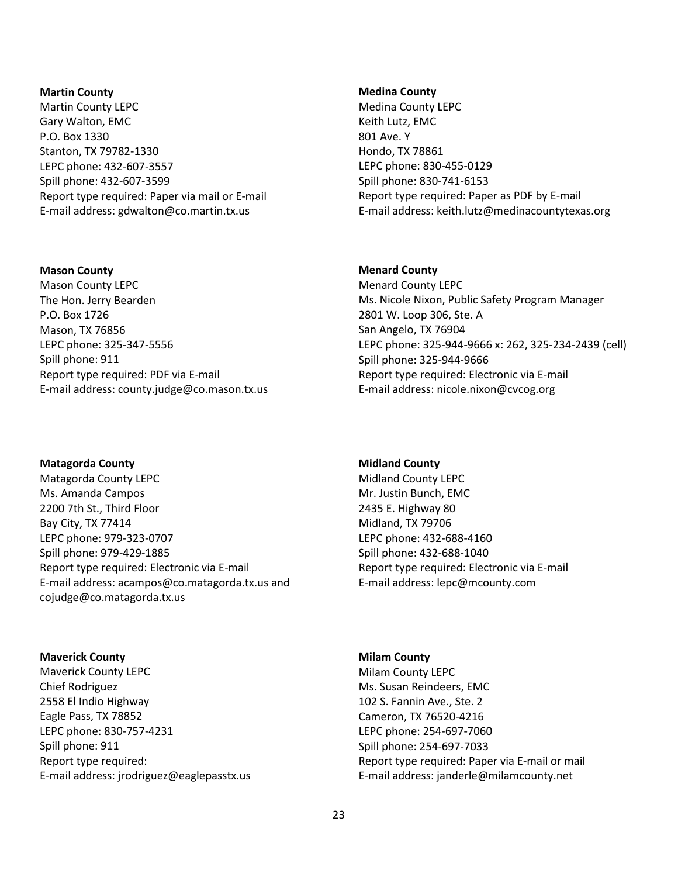#### **Martin County**

Martin County LEPC Gary Walton, EMC P.O. Box 1330 Stanton, TX 79782-1330 LEPC phone: 432-607-3557 Spill phone: 432-607-3599 Report type required: Paper via mail or E-mail E-mail address: gdwalton@co.martin.tx.us

#### **Mason County**

Mason County LEPC The Hon. Jerry Bearden P.O. Box 1726 Mason, TX 76856 LEPC phone: 325-347-5556 Spill phone: 911 Report type required: PDF via E-mail E-mail address: county.judge@co.mason.tx.us

**Matagorda County** Matagorda County LEPC Ms. Amanda Campos 2200 7th St., Third Floor Bay City, TX 77414 LEPC phone: 979-323-0707 Spill phone: 979-429-1885 Report type required: Electronic via E-mail E-mail address: acampos@co.matagorda.tx.us and cojudge@co.matagorda.tx.us

**Maverick County**

Maverick County LEPC Chief Rodriguez 2558 El Indio Highway Eagle Pass, TX 78852 LEPC phone: 830-757-4231 Spill phone: 911 Report type required: E-mail address: jrodriguez@eaglepasstx.us

#### **Medina County**

Medina County LEPC Keith Lutz, EMC 801 Ave. Y Hondo, TX 78861 LEPC phone: 830-455-0129 Spill phone: 830-741-6153 Report type required: Paper as PDF by E-mail E-mail address: keith.lutz@medinacountytexas.org

#### **Menard County**

Menard County LEPC Ms. Nicole Nixon, Public Safety Program Manager 2801 W. Loop 306, Ste. A San Angelo, TX 76904 LEPC phone: 325-944-9666 x: 262, 325-234-2439 (cell) Spill phone: 325-944-9666 Report type required: Electronic via E-mail E-mail address: nicole.nixon@cvcog.org

# **Midland County**

Midland County LEPC Mr. Justin Bunch, EMC 2435 E. Highway 80 Midland, TX 79706 LEPC phone: 432-688-4160 Spill phone: 432-688-1040 Report type required: Electronic via E-mail E-mail address: lepc@mcounty.com

# **Milam County**

Milam County LEPC Ms. Susan Reindeers, EMC 102 S. Fannin Ave., Ste. 2 Cameron, TX 76520-4216 LEPC phone: 254-697-7060 Spill phone: 254-697-7033 Report type required: Paper via E-mail or mail E-mail address: janderle@milamcounty.net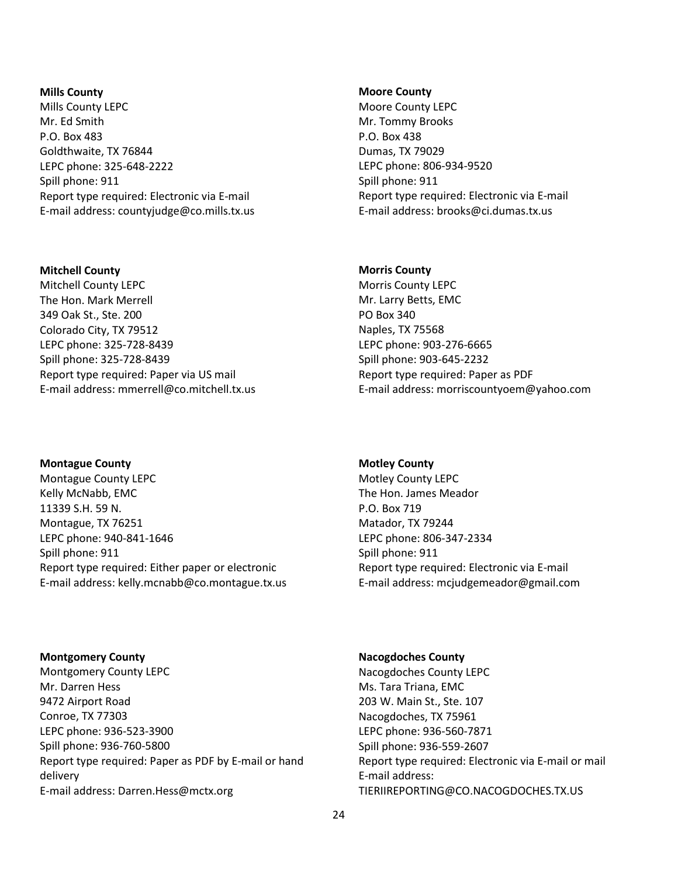#### **Mills County**

Mills County LEPC Mr. Ed Smith P.O. Box 483 Goldthwaite, TX 76844 LEPC phone: 325-648-2222 Spill phone: 911 Report type required: Electronic via E-mail E-mail address: countyjudge@co.mills.tx.us

# **Mitchell County**

Mitchell County LEPC The Hon. Mark Merrell 349 Oak St., Ste. 200 Colorado City, TX 79512 LEPC phone: 325-728-8439 Spill phone: 325-728-8439 Report type required: Paper via US mail E-mail address: mmerrell@co.mitchell.tx.us

**Montague County** Montague County LEPC Kelly McNabb, EMC 11339 S.H. 59 N. Montague, TX 76251 LEPC phone: 940-841-1646 Spill phone: 911 Report type required: Either paper or electronic E-mail address: kelly.mcnabb@co.montague.tx.us **Moore County**

Moore County LEPC Mr. Tommy Brooks P.O. Box 438 Dumas, TX 79029 LEPC phone: 806-934-9520 Spill phone: 911 Report type required: Electronic via E-mail E-mail address: brooks@ci.dumas.tx.us

# **Morris County**

Morris County LEPC Mr. Larry Betts, EMC PO Box 340 Naples, TX 75568 LEPC phone: 903-276-6665 Spill phone: 903-645-2232 Report type required: Paper as PDF E-mail address: morriscountyoem@yahoo.com

# **Motley County**

Motley County LEPC The Hon. James Meador P.O. Box 719 Matador, TX 79244 LEPC phone: 806-347-2334 Spill phone: 911 Report type required: Electronic via E-mail E-mail address: mcjudgemeador@gmail.com

#### **Montgomery County**

Montgomery County LEPC Mr. Darren Hess 9472 Airport Road Conroe, TX 77303 LEPC phone: 936-523-3900 Spill phone: 936-760-5800 Report type required: Paper as PDF by E-mail or hand delivery E-mail address: Darren.Hess@mctx.org

# **Nacogdoches County**

Nacogdoches County LEPC Ms. Tara Triana, EMC 203 W. Main St., Ste. 107 Nacogdoches, TX 75961 LEPC phone: 936-560-7871 Spill phone: 936-559-2607 Report type required: Electronic via E-mail or mail E-mail address: TIERIIREPORTING@CO.NACOGDOCHES.TX.US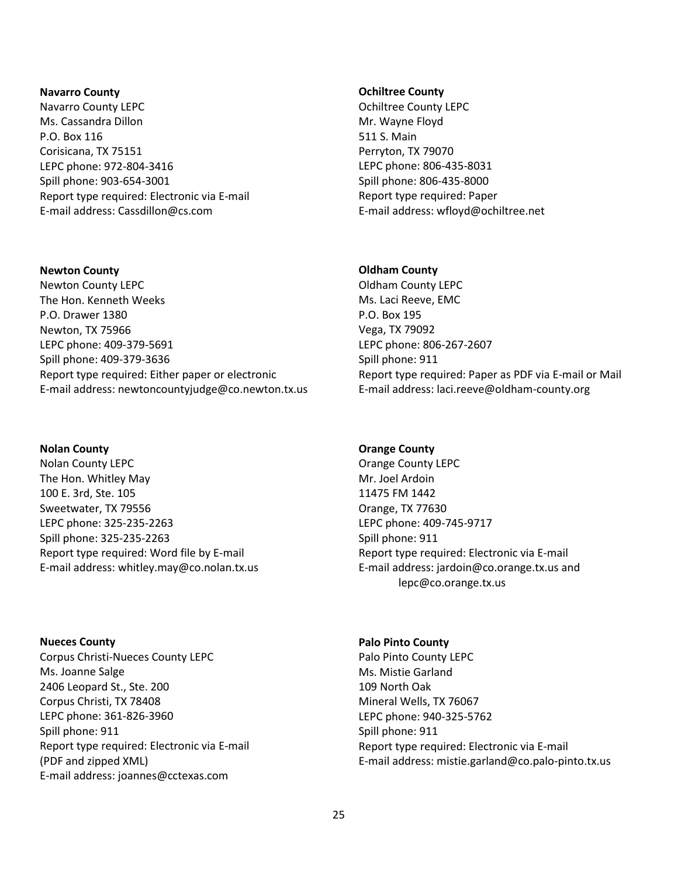#### **Navarro County**

Navarro County LEPC Ms. Cassandra Dillon P.O. Box 116 Corisicana, TX 75151 LEPC phone: 972-804-3416 Spill phone: 903-654-3001 Report type required: Electronic via E-mail E-mail address: Cassdillon@cs.com

#### **Newton County**

Newton County LEPC The Hon. Kenneth Weeks P.O. Drawer 1380 Newton, TX 75966 LEPC phone: 409-379-5691 Spill phone: 409-379-3636 Report type required: Either paper or electronic E-mail address: newtoncountyjudge@co.newton.tx.us

# **Nolan County**

Nolan County LEPC The Hon. Whitley May 100 E. 3rd, Ste. 105 Sweetwater, TX 79556 LEPC phone: 325-235-2263 Spill phone: 325-235-2263 Report type required: Word file by E-mail E-mail address: whitley.may@co.nolan.tx.us

**Nueces County** Corpus Christi-Nueces County LEPC Ms. Joanne Salge 2406 Leopard St., Ste. 200 Corpus Christi, TX 78408 LEPC phone: 361-826-3960 Spill phone: 911 Report type required: Electronic via E-mail (PDF and zipped XML) E-mail address: joannes@cctexas.com

#### **Ochiltree County**

Ochiltree County LEPC Mr. Wayne Floyd 511 S. Main Perryton, TX 79070 LEPC phone: 806-435-8031 Spill phone: 806-435-8000 Report type required: Paper E-mail address: wfloyd@ochiltree.net

# **Oldham County**

Oldham County LEPC Ms. Laci Reeve, EMC P.O. Box 195 Vega, TX 79092 LEPC phone: 806-267-2607 Spill phone: 911 Report type required: Paper as PDF via E-mail or Mail E-mail address: laci.reeve@oldham-county.org

# **Orange County**

Orange County LEPC Mr. Joel Ardoin 11475 FM 1442 Orange, TX 77630 LEPC phone: 409-745-9717 Spill phone: 911 Report type required: Electronic via E-mail E-mail address: jardoin@co.orange.tx.us and lepc@co.orange.tx.us

# **Palo Pinto County**

Palo Pinto County LEPC Ms. Mistie Garland 109 North Oak Mineral Wells, TX 76067 LEPC phone: 940-325-5762 Spill phone: 911 Report type required: Electronic via E-mail E-mail address: mistie.garland@co.palo-pinto.tx.us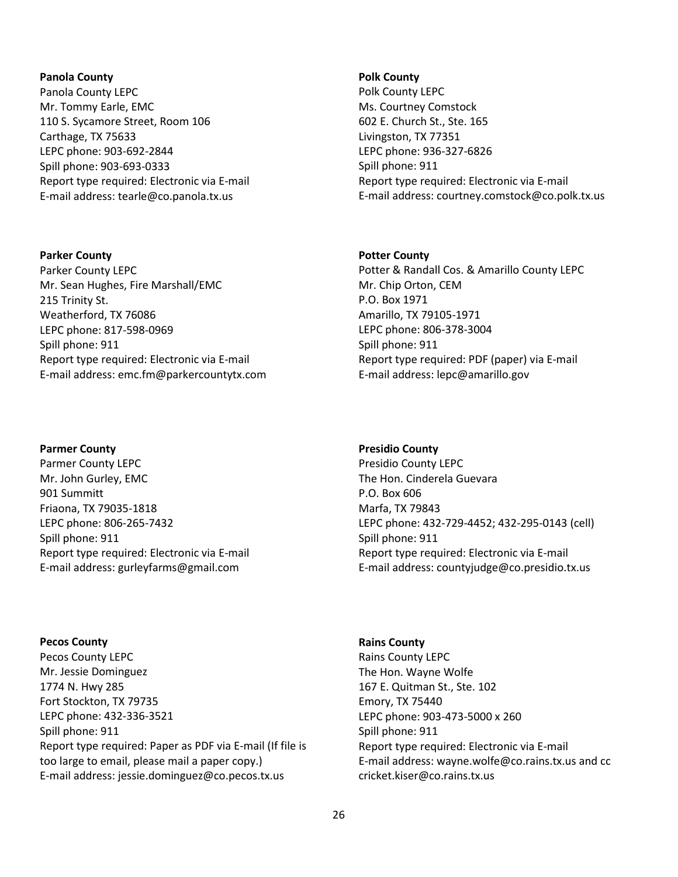#### **Panola County**

Panola County LEPC Mr. Tommy Earle, EMC 110 S. Sycamore Street, Room 106 Carthage, TX 75633 LEPC phone: 903-692-2844 Spill phone: 903-693-0333 Report type required: Electronic via E-mail E-mail address: tearle@co.panola.tx.us

### **Parker County**

Parker County LEPC Mr. Sean Hughes, Fire Marshall/EMC 215 Trinity St. Weatherford, TX 76086 LEPC phone: 817-598-0969 Spill phone: 911 Report type required: Electronic via E-mail E-mail address: emc.fm@parkercountytx.com

# **Parmer County**

Parmer County LEPC Mr. John Gurley, EMC 901 Summitt Friaona, TX 79035-1818 LEPC phone: 806-265-7432 Spill phone: 911 Report type required: Electronic via E-mail E-mail address: gurleyfarms@gmail.com

**Pecos County** Pecos County LEPC Mr. Jessie Dominguez 1774 N. Hwy 285 Fort Stockton, TX 79735 LEPC phone: 432-336-3521 Spill phone: 911 Report type required: Paper as PDF via E-mail (If file is too large to email, please mail a paper copy.) E-mail address: jessie.dominguez@co.pecos.tx.us

#### **Polk County**

Polk County LEPC Ms. Courtney Comstock 602 E. Church St., Ste. 165 Livingston, TX 77351 LEPC phone: 936-327-6826 Spill phone: 911 Report type required: Electronic via E-mail E-mail address: courtney.comstock@co.polk.tx.us

# **Potter County**

Potter & Randall Cos. & Amarillo County LEPC Mr. Chip Orton, CEM P.O. Box 1971 Amarillo, TX 79105-1971 LEPC phone: 806-378-3004 Spill phone: 911 Report type required: PDF (paper) via E-mail E-mail address: lepc@amarillo.gov

#### **Presidio County**

Presidio County LEPC The Hon. Cinderela Guevara P.O. Box 606 Marfa, TX 79843 LEPC phone: 432-729-4452; 432-295-0143 (cell) Spill phone: 911 Report type required: Electronic via E-mail E-mail address: countyjudge@co.presidio.tx.us

**Rains County** Rains County LEPC The Hon. Wayne Wolfe 167 E. Quitman St., Ste. 102 Emory, TX 75440 LEPC phone: 903-473-5000 x 260 Spill phone: 911 Report type required: Electronic via E-mail E-mail address: wayne.wolfe@co.rains.tx.us and cc cricket.kiser@co.rains.tx.us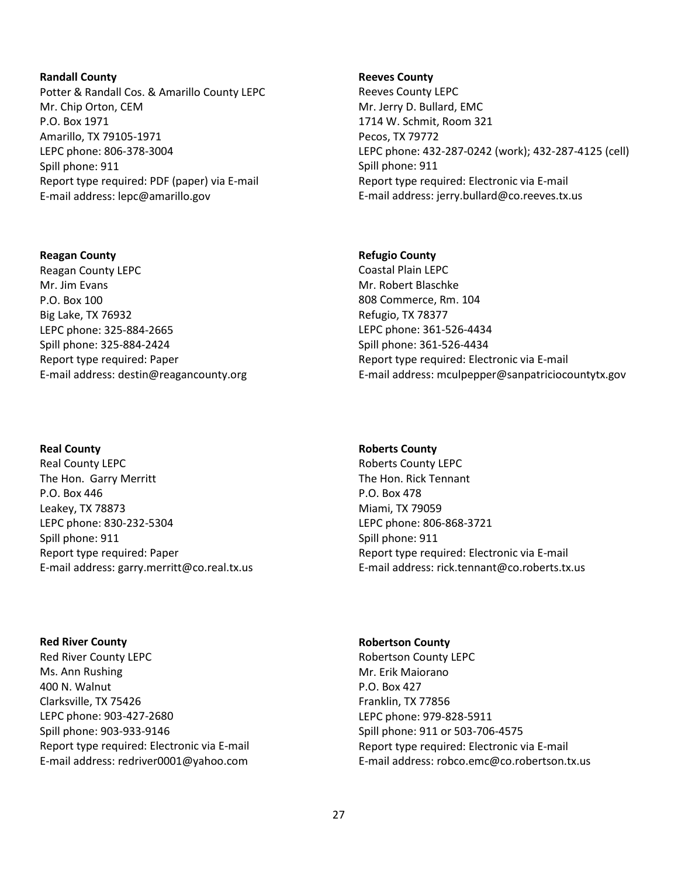### **Randall County**

Potter & Randall Cos. & Amarillo County LEPC Mr. Chip Orton, CEM P.O. Box 1971 Amarillo, TX 79105-1971 LEPC phone: 806-378-3004 Spill phone: 911 Report type required: PDF (paper) via E-mail E-mail address: lepc@amarillo.gov

### **Reagan County**

Reagan County LEPC Mr. Jim Evans P.O. Box 100 Big Lake, TX 76932 LEPC phone: 325-884-2665 Spill phone: 325-884-2424 Report type required: Paper E-mail address: destin@reagancounty.org

# **Real County**

Real County LEPC The Hon. Garry Merritt P.O. Box 446 Leakey, TX 78873 LEPC phone: 830-232-5304 Spill phone: 911 Report type required: Paper E-mail address: garry.merritt@co.real.tx.us

**Red River County** Red River County LEPC Ms. Ann Rushing 400 N. Walnut Clarksville, TX 75426 LEPC phone: 903-427-2680 Spill phone: 903-933-9146 Report type required: Electronic via E-mail E-mail address: redriver0001@yahoo.com

#### **Reeves County**

Reeves County LEPC Mr. Jerry D. Bullard, EMC 1714 W. Schmit, Room 321 Pecos, TX 79772 LEPC phone: 432-287-0242 (work); 432-287-4125 (cell) Spill phone: 911 Report type required: Electronic via E-mail E-mail address: jerry.bullard@co.reeves.tx.us

# **Refugio County**

Coastal Plain LEPC Mr. Robert Blaschke 808 Commerce, Rm. 104 Refugio, TX 78377 LEPC phone: 361-526-4434 Spill phone: 361-526-4434 Report type required: Electronic via E-mail E-mail address: mculpepper@sanpatriciocountytx.gov

# **Roberts County**

Roberts County LEPC The Hon. Rick Tennant P.O. Box 478 Miami, TX 79059 LEPC phone: 806-868-3721 Spill phone: 911 Report type required: Electronic via E-mail E-mail address: rick.tennant@co.roberts.tx.us

# **Robertson County**

Robertson County LEPC Mr. Erik Maiorano P.O. Box 427 Franklin, TX 77856 LEPC phone: 979-828-5911 Spill phone: 911 or 503-706-4575 Report type required: Electronic via E-mail E-mail address: robco.emc@co.robertson.tx.us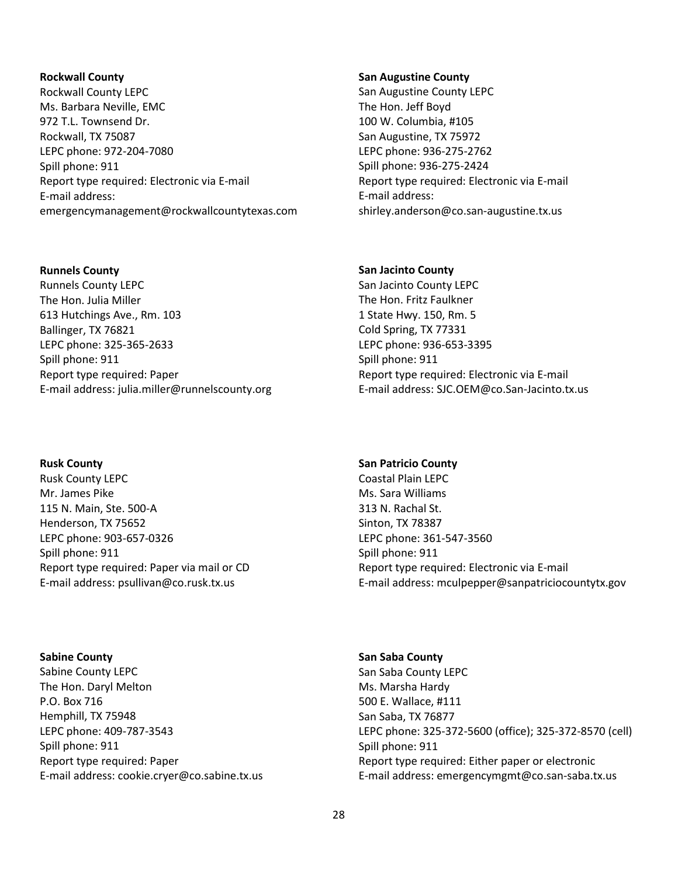#### **Rockwall County**

Rockwall County LEPC Ms. Barbara Neville, EMC 972 T.L. Townsend Dr. Rockwall, TX 75087 LEPC phone: 972-204-7080 Spill phone: 911 Report type required: Electronic via E-mail E-mail address: emergencymanagement@rockwallcountytexas.com

#### **Runnels County**

Runnels County LEPC The Hon. Julia Miller 613 Hutchings Ave., Rm. 103 Ballinger, TX 76821 LEPC phone: 325-365-2633 Spill phone: 911 Report type required: Paper E-mail address: julia.miller@runnelscounty.org

**Rusk County** Rusk County LEPC Mr. James Pike 115 N. Main, Ste. 500-A Henderson, TX 75652 LEPC phone: 903-657-0326 Spill phone: 911 Report type required: Paper via mail or CD E-mail address: psullivan@co.rusk.tx.us

**Sabine County** Sabine County LEPC The Hon. Daryl Melton P.O. Box 716 Hemphill, TX 75948 LEPC phone: 409-787-3543 Spill phone: 911 Report type required: Paper E-mail address: cookie.cryer@co.sabine.tx.us

#### **San Augustine County**

San Augustine County LEPC The Hon. Jeff Boyd 100 W. Columbia, #105 San Augustine, TX 75972 LEPC phone: 936-275-2762 Spill phone: 936-275-2424 Report type required: Electronic via E-mail E-mail address: shirley.anderson@co.san-augustine.tx.us

#### **San Jacinto County**

San Jacinto County LEPC The Hon. Fritz Faulkner 1 State Hwy. 150, Rm. 5 Cold Spring, TX 77331 LEPC phone: 936-653-3395 Spill phone: 911 Report type required: Electronic via E-mail E-mail address: SJC.OEM@co.San-Jacinto.tx.us

### **San Patricio County**

Coastal Plain LEPC Ms. Sara Williams 313 N. Rachal St. Sinton, TX 78387 LEPC phone: 361-547-3560 Spill phone: 911 Report type required: Electronic via E-mail E-mail address: mculpepper@sanpatriciocountytx.gov

**San Saba County** San Saba County LEPC Ms. Marsha Hardy 500 E. Wallace, #111 San Saba, TX 76877 LEPC phone: 325-372-5600 (office); 325-372-8570 (cell) Spill phone: 911 Report type required: Either paper or electronic E-mail address: emergencymgmt@co.san-saba.tx.us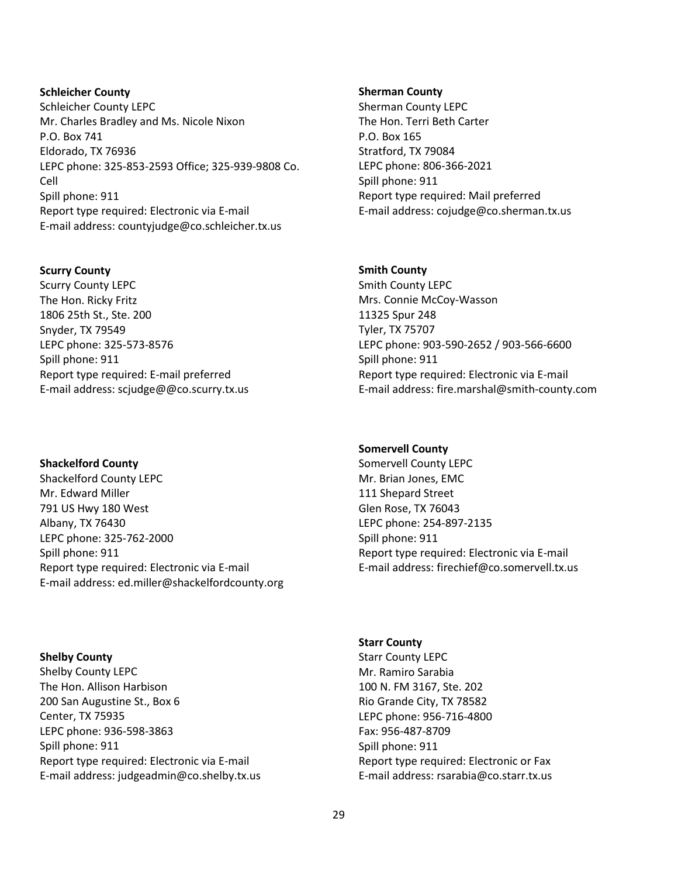**Schleicher County** Schleicher County LEPC Mr. Charles Bradley and Ms. Nicole Nixon P.O. Box 741 Eldorado, TX 76936 LEPC phone: 325-853-2593 Office; 325-939-9808 Co. Cell Spill phone: 911 Report type required: Electronic via E-mail E-mail address: countyjudge@co.schleicher.tx.us

# **Scurry County**

Scurry County LEPC The Hon. Ricky Fritz 1806 25th St., Ste. 200 Snyder, TX 79549 LEPC phone: 325-573-8576 Spill phone: 911 Report type required: E-mail preferred E-mail address: scjudge@@co.scurry.tx.us

**Shackelford County**

Shackelford County LEPC Mr. Edward Miller 791 US Hwy 180 West Albany, TX 76430 LEPC phone: 325-762-2000 Spill phone: 911 Report type required: Electronic via E-mail E-mail address: ed.miller@shackelfordcounty.org

**Shelby County**

Shelby County LEPC The Hon. Allison Harbison 200 San Augustine St., Box 6 Center, TX 75935 LEPC phone: 936-598-3863 Spill phone: 911 Report type required: Electronic via E-mail E-mail address: judgeadmin@co.shelby.tx.us

#### **Sherman County**

Sherman County LEPC The Hon. Terri Beth Carter P.O. Box 165 Stratford, TX 79084 LEPC phone: 806-366-2021 Spill phone: 911 Report type required: Mail preferred E-mail address: cojudge@co.sherman.tx.us

# **Smith County**

Smith County LEPC Mrs. Connie McCoy-Wasson 11325 Spur 248 Tyler, TX 75707 LEPC phone: 903-590-2652 / 903-566-6600 Spill phone: 911 Report type required: Electronic via E-mail E-mail address: fire.marshal@smith-county.com

# **Somervell County**

Somervell County LEPC Mr. Brian Jones, EMC 111 Shepard Street Glen Rose, TX 76043 LEPC phone: 254-897-2135 Spill phone: 911 Report type required: Electronic via E-mail E-mail address: firechief@co.somervell.tx.us

**Starr County** Starr County LEPC Mr. Ramiro Sarabia 100 N. FM 3167, Ste. 202 Rio Grande City, TX 78582 LEPC phone: 956-716-4800 Fax: 956-487-8709 Spill phone: 911 Report type required: Electronic or Fax E-mail address: rsarabia@co.starr.tx.us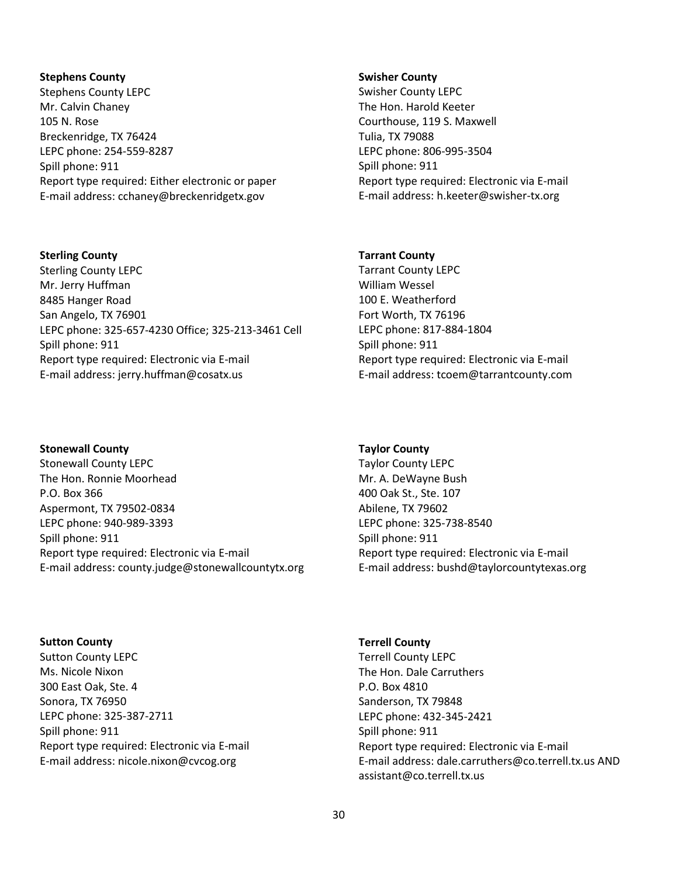#### **Stephens County**

Stephens County LEPC Mr. Calvin Chaney 105 N. Rose Breckenridge, TX 76424 LEPC phone: 254-559-8287 Spill phone: 911 Report type required: Either electronic or paper E-mail address: cchaney@breckenridgetx.gov

#### **Sterling County**

Sterling County LEPC Mr. Jerry Huffman 8485 Hanger Road San Angelo, TX 76901 LEPC phone: 325-657-4230 Office; 325-213-3461 Cell Spill phone: 911 Report type required: Electronic via E-mail E-mail address: jerry.huffman@cosatx.us

# **Stonewall County**

Stonewall County LEPC The Hon. Ronnie Moorhead P.O. Box 366 Aspermont, TX 79502-0834 LEPC phone: 940-989-3393 Spill phone: 911 Report type required: Electronic via E-mail E-mail address: county.judge@stonewallcountytx.org

#### **Swisher County**

Swisher County LEPC The Hon. Harold Keeter Courthouse, 119 S. Maxwell Tulia, TX 79088 LEPC phone: 806-995-3504 Spill phone: 911 Report type required: Electronic via E-mail E-mail address: h.keeter@swisher-tx.org

# **Tarrant County**

Tarrant County LEPC William Wessel 100 E. Weatherford Fort Worth, TX 76196 LEPC phone: 817-884-1804 Spill phone: 911 Report type required: Electronic via E-mail E-mail address: tcoem@tarrantcounty.com

### **Taylor County**

Taylor County LEPC Mr. A. DeWayne Bush 400 Oak St., Ste. 107 Abilene, TX 79602 LEPC phone: 325-738-8540 Spill phone: 911 Report type required: Electronic via E-mail E-mail address: bushd@taylorcountytexas.org

# **Sutton County** Sutton County LEPC Ms. Nicole Nixon 300 East Oak, Ste. 4 Sonora, TX 76950 LEPC phone: 325-387-2711 Spill phone: 911 Report type required: Electronic via E-mail E-mail address: nicole.nixon@cvcog.org

# **Terrell County** Terrell County LEPC The Hon. Dale Carruthers P.O. Box 4810 Sanderson, TX 79848 LEPC phone: 432-345-2421 Spill phone: 911 Report type required: Electronic via E-mail E-mail address: dale.carruthers@co.terrell.tx.us AND assistant@co.terrell.tx.us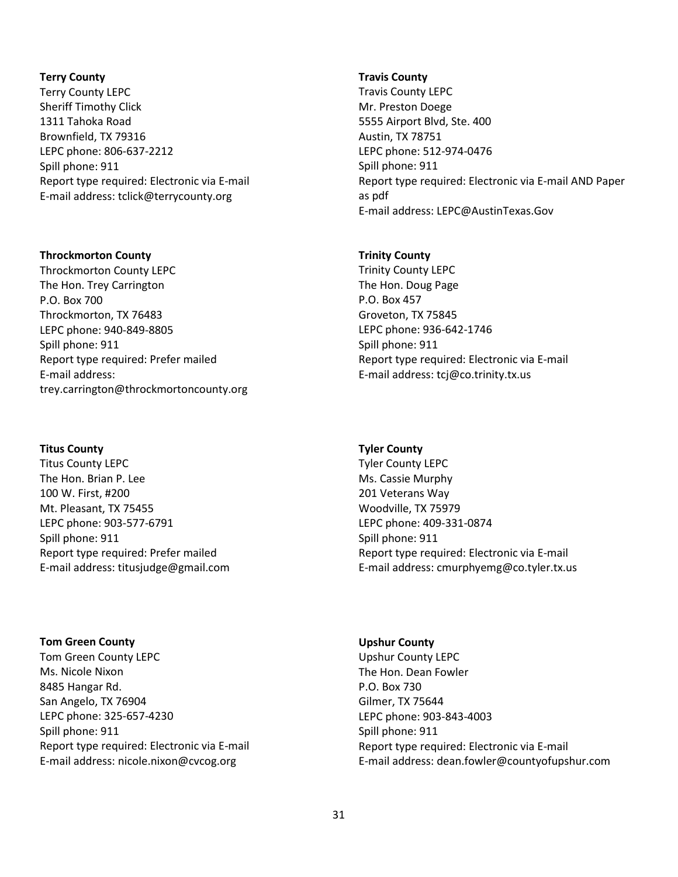### **Terry County**

Terry County LEPC Sheriff Timothy Click 1311 Tahoka Road Brownfield, TX 79316 LEPC phone: 806-637-2212 Spill phone: 911 Report type required: Electronic via E-mail E-mail address: tclick@terrycounty.org

#### **Throckmorton County**

Throckmorton County LEPC The Hon. Trey Carrington P.O. Box 700 Throckmorton, TX 76483 LEPC phone: 940-849-8805 Spill phone: 911 Report type required: Prefer mailed E-mail address: trey.carrington@throckmortoncounty.org

# **Titus County**

Titus County LEPC The Hon. Brian P. Lee 100 W. First, #200 Mt. Pleasant, TX 75455 LEPC phone: 903-577-6791 Spill phone: 911 Report type required: Prefer mailed E-mail address: titusjudge@gmail.com

**Tom Green County** Tom Green County LEPC Ms. Nicole Nixon 8485 Hangar Rd. San Angelo, TX 76904 LEPC phone: 325-657-4230 Spill phone: 911 Report type required: Electronic via E-mail E-mail address: nicole.nixon@cvcog.org

#### **Travis County**

Travis County LEPC Mr. Preston Doege 5555 Airport Blvd, Ste. 400 Austin, TX 78751 LEPC phone: 512-974-0476 Spill phone: 911 Report type required: Electronic via E-mail AND Paper as pdf E-mail address: LEPC@AustinTexas.Gov

# **Trinity County**

Trinity County LEPC The Hon. Doug Page P.O. Box 457 Groveton, TX 75845 LEPC phone: 936-642-1746 Spill phone: 911 Report type required: Electronic via E-mail E-mail address: tcj@co.trinity.tx.us

# **Tyler County**

Tyler County LEPC Ms. Cassie Murphy 201 Veterans Way Woodville, TX 75979 LEPC phone: 409-331-0874 Spill phone: 911 Report type required: Electronic via E-mail E-mail address: cmurphyemg@co.tyler.tx.us

# **Upshur County** Upshur County LEPC The Hon. Dean Fowler P.O. Box 730 Gilmer, TX 75644 LEPC phone: 903-843-4003 Spill phone: 911 Report type required: Electronic via E-mail E-mail address: dean.fowler@countyofupshur.com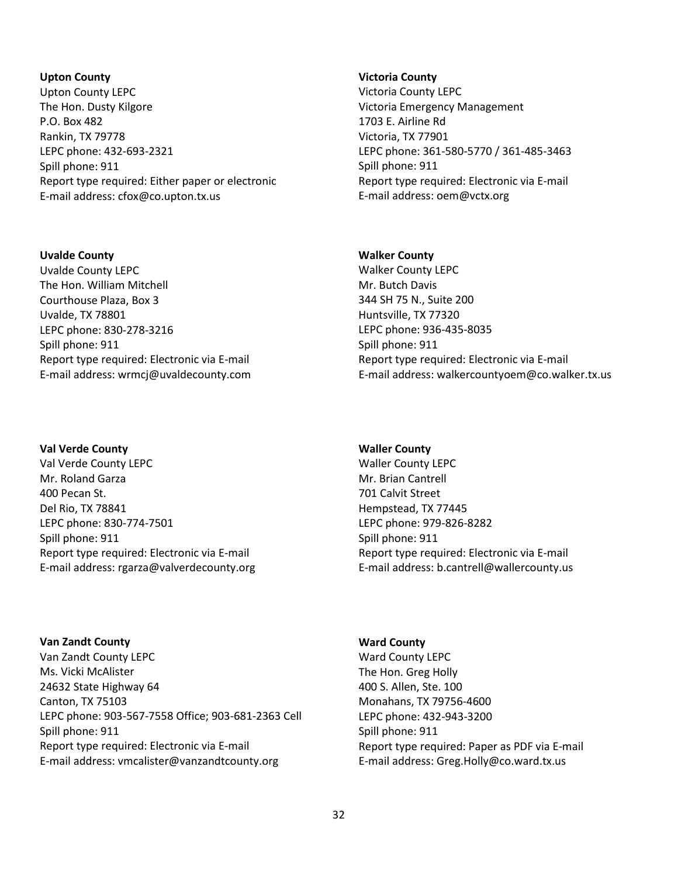# **Upton County**

Upton County LEPC The Hon. Dusty Kilgore P.O. Box 482 Rankin, TX 79778 LEPC phone: 432-693-2321 Spill phone: 911 Report type required: Either paper or electronic E-mail address: cfox@co.upton.tx.us

# **Uvalde County**

Uvalde County LEPC The Hon. William Mitchell Courthouse Plaza, Box 3 Uvalde, TX 78801 LEPC phone: 830-278-3216 Spill phone: 911 Report type required: Electronic via E-mail E-mail address: wrmcj@uvaldecounty.com

# **Val Verde County**

Val Verde County LEPC Mr. Roland Garza 400 Pecan St. Del Rio, TX 78841 LEPC phone: 830-774-7501 Spill phone: 911 Report type required: Electronic via E-mail E-mail address: rgarza@valverdecounty.org

**Van Zandt County** Van Zandt County LEPC Ms. Vicki McAlister 24632 State Highway 64 Canton, TX 75103 LEPC phone: 903-567-7558 Office; 903-681-2363 Cell Spill phone: 911 Report type required: Electronic via E-mail E-mail address: vmcalister@vanzandtcounty.org

#### **Victoria County**

Victoria County LEPC Victoria Emergency Management 1703 E. Airline Rd Victoria, TX 77901 LEPC phone: 361-580-5770 / 361-485-3463 Spill phone: 911 Report type required: Electronic via E-mail E-mail address: oem@vctx.org

# **Walker County**

Walker County LEPC Mr. Butch Davis 344 SH 75 N., Suite 200 Huntsville, TX 77320 LEPC phone: 936-435-8035 Spill phone: 911 Report type required: Electronic via E-mail E-mail address: walkercountyoem@co.walker.tx.us

### **Waller County**

Waller County LEPC Mr. Brian Cantrell 701 Calvit Street Hempstead, TX 77445 LEPC phone: 979-826-8282 Spill phone: 911 Report type required: Electronic via E-mail E-mail address: b.cantrell@wallercounty.us

**Ward County** Ward County LEPC The Hon. Greg Holly 400 S. Allen, Ste. 100 Monahans, TX 79756-4600 LEPC phone: 432-943-3200 Spill phone: 911 Report type required: Paper as PDF via E-mail E-mail address: Greg.Holly@co.ward.tx.us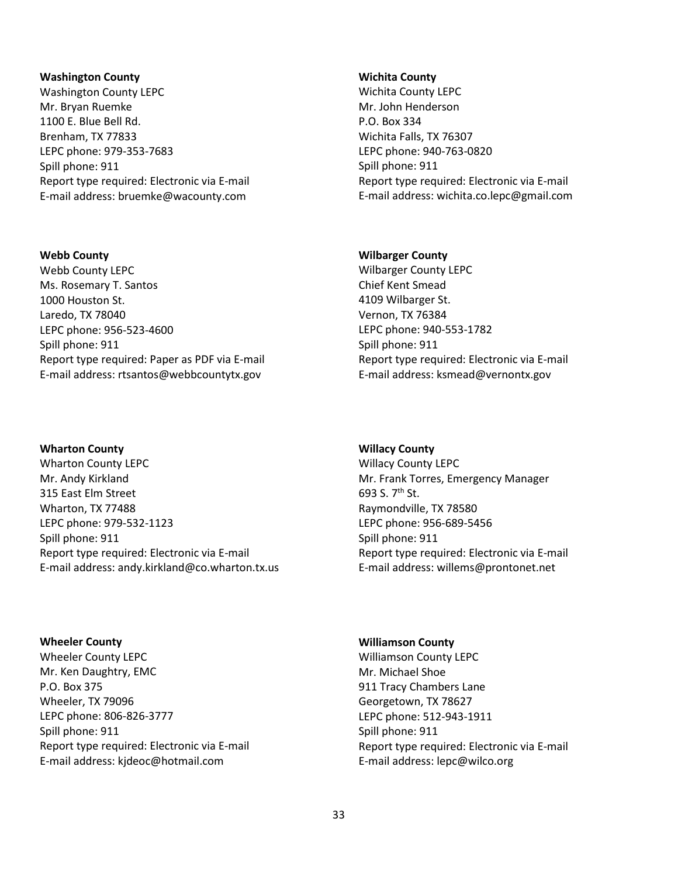#### **Washington County**

Washington County LEPC Mr. Bryan Ruemke 1100 E. Blue Bell Rd. Brenham, TX 77833 LEPC phone: 979-353-7683 Spill phone: 911 Report type required: Electronic via E-mail E-mail address: bruemke@wacounty.com

# **Webb County**

Webb County LEPC Ms. Rosemary T. Santos 1000 Houston St. Laredo, TX 78040 LEPC phone: 956-523-4600 Spill phone: 911 Report type required: Paper as PDF via E-mail E-mail address: rtsantos@webbcountytx.gov

# **Wharton County**

Wharton County LEPC Mr. Andy Kirkland 315 East Elm Street Wharton, TX 77488 LEPC phone: 979-532-1123 Spill phone: 911 Report type required: Electronic via E-mail E-mail address: andy.kirkland@co.wharton.tx.us

**Wheeler County** Wheeler County LEPC Mr. Ken Daughtry, EMC P.O. Box 375 Wheeler, TX 79096 LEPC phone: 806-826-3777 Spill phone: 911 Report type required: Electronic via E-mail E-mail address: kjdeoc@hotmail.com

#### **Wichita County**

Wichita County LEPC Mr. John Henderson P.O. Box 334 Wichita Falls, TX 76307 LEPC phone: 940-763-0820 Spill phone: 911 Report type required: Electronic via E-mail E-mail address: wichita.co.lepc@gmail.com

# **Wilbarger County**

Wilbarger County LEPC Chief Kent Smead 4109 Wilbarger St. Vernon, TX 76384 LEPC phone: 940-553-1782 Spill phone: 911 Report type required: Electronic via E-mail E-mail address: ksmead@vernontx.gov

# **Willacy County**

Willacy County LEPC Mr. Frank Torres, Emergency Manager 693 S. 7th St. Raymondville, TX 78580 LEPC phone: 956-689-5456 Spill phone: 911 Report type required: Electronic via E-mail E-mail address: willems@prontonet.net

#### **Williamson County**

Williamson County LEPC Mr. Michael Shoe 911 Tracy Chambers Lane Georgetown, TX 78627 LEPC phone: 512-943-1911 Spill phone: 911 Report type required: Electronic via E-mail E-mail address: lepc@wilco.org